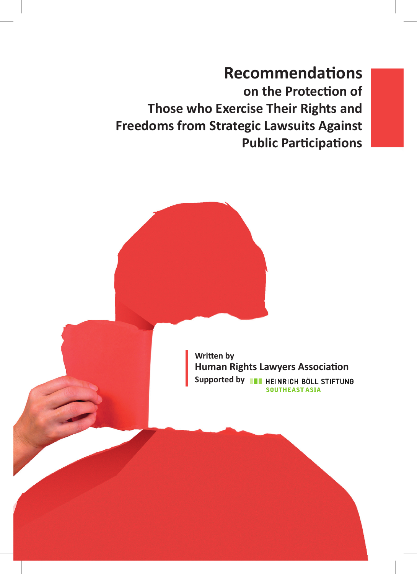**Recommendations on the Protection of Those who Exercise Their Rights and Freedoms from Strategic Lawsuits Against Public Participations**

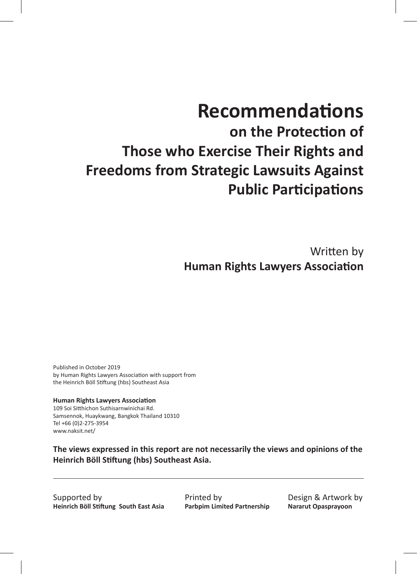# **Recommendations**

**on the Protection of Those who Exercise Their Rights and Freedoms from Strategic Lawsuits Against Public Participations**

> Written by **Human Rights Lawyers Association**

Published in October 2019 by Human Rights Lawyers Association with support from the Heinrich Böll Stiftung (hbs) Southeast Asia

**Human Rights Lawyers Association**  109 Soi Sitthichon Suthisarnwinichai Rd. Samsennok, Huaykwang, Bangkok Thailand 10310 Tel +66 (0)2-275-3954 www.naksit.net/

**The views expressed in this report are not necessarily the views and opinions of the Heinrich Böll Stiftung (hbs) Southeast Asia.**

Supported by **Heinrich Böll Stiftung South East Asia** Printed by **Parbpim Limited Partnership** Design & Artwork by **Nararut Opasprayoon**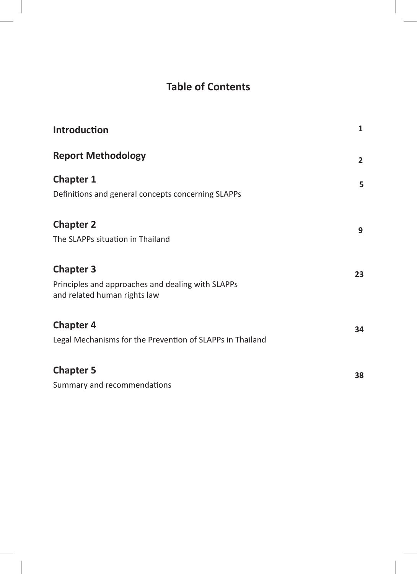# **Table of Contents**

| Introduction                                                                                          | $\mathbf{1}$   |
|-------------------------------------------------------------------------------------------------------|----------------|
| <b>Report Methodology</b>                                                                             | $\overline{2}$ |
| <b>Chapter 1</b><br>Definitions and general concepts concerning SLAPPs                                | 5              |
| <b>Chapter 2</b><br>The SLAPPs situation in Thailand                                                  | 9              |
| <b>Chapter 3</b><br>Principles and approaches and dealing with SLAPPs<br>and related human rights law | 23             |
| <b>Chapter 4</b><br>Legal Mechanisms for the Prevention of SLAPPs in Thailand                         | 34             |
| <b>Chapter 5</b><br>Summary and recommendations                                                       | 38             |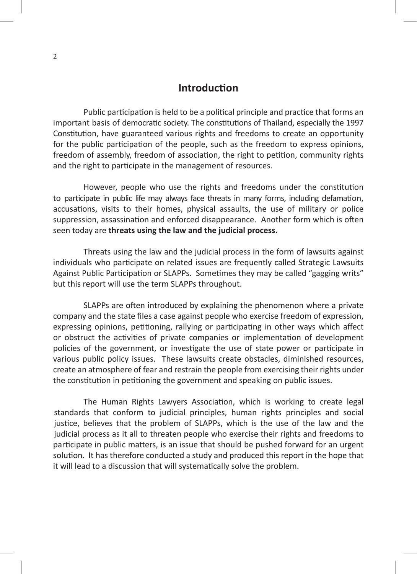### **Introduction**

Public participation is held to be a political principle and practice that forms an important basis of democratic society. The constitutions of Thailand, especially the 1997 Constitution, have guaranteed various rights and freedoms to create an opportunity for the public participation of the people, such as the freedom to express opinions, freedom of assembly, freedom of association, the right to petition, community rights and the right to participate in the management of resources.

However, people who use the rights and freedoms under the constitution to participate in public life may always face threats in many forms, including defamation, accusations, visits to their homes, physical assaults, the use of military or police suppression, assassination and enforced disappearance. Another form which is often seen today are **threats using the law and the judicial process.**

Threats using the law and the judicial process in the form of lawsuits against individuals who participate on related issues are frequently called Strategic Lawsuits Against Public Participation or SLAPPs. Sometimes they may be called "gagging writs" but this report will use the term SLAPPs throughout.

SLAPPs are often introduced by explaining the phenomenon where a private company and the state files a case against people who exercise freedom of expression, expressing opinions, petitioning, rallying or participating in other ways which affect or obstruct the activities of private companies or implementation of development policies of the government, or investigate the use of state power or participate in various public policy issues. These lawsuits create obstacles, diminished resources, create an atmosphere of fear and restrain the people from exercising their rights under the constitution in petitioning the government and speaking on public issues.

The Human Rights Lawyers Association, which is working to create legal standards that conform to judicial principles, human rights principles and social justice, believes that the problem of SLAPPs, which is the use of the law and the judicial process as it all to threaten people who exercise their rights and freedoms to participate in public matters, is an issue that should be pushed forward for an urgent solution. It has therefore conducted a study and produced this report in the hope that it will lead to a discussion that will systematically solve the problem.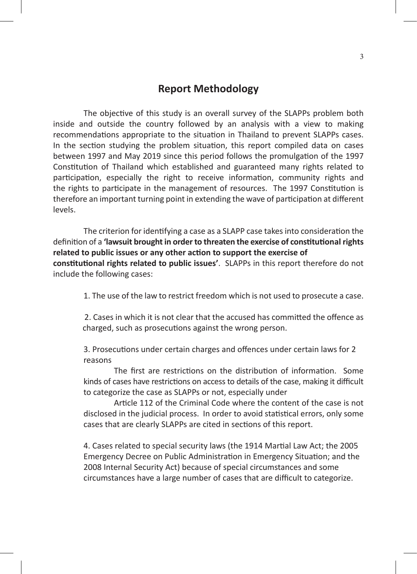### **Report Methodology**

The objective of this study is an overall survey of the SLAPPs problem both inside and outside the country followed by an analysis with a view to making recommendations appropriate to the situation in Thailand to prevent SLAPPs cases. In the section studying the problem situation, this report compiled data on cases between 1997 and May 2019 since this period follows the promulgation of the 1997 Constitution of Thailand which established and guaranteed many rights related to participation, especially the right to receive information, community rights and the rights to participate in the management of resources. The 1997 Constitution is therefore an important turning point in extending the wave of participation at different levels.

The criterion for identifying a case as a SLAPP case takes into consideration the definition of a **'lawsuit brought in order to threaten the exercise of constitutional rights related to public issues or any other action to support the exercise of constitutional rights related to public issues'**. SLAPPs in this report therefore do not include the following cases:

1. The use of the law to restrict freedom which is not used to prosecute a case.

2. Cases in which it is not clear that the accused has committed the offence as charged, such as prosecutions against the wrong person.

3. Prosecutions under certain charges and offences under certain laws for 2 reasons

The first are restrictions on the distribution of information. Some kinds of cases have restrictions on access to details of the case, making it difficult to categorize the case as SLAPPs or not, especially under

Article 112 of the Criminal Code where the content of the case is not disclosed in the judicial process. In order to avoid statistical errors, only some cases that are clearly SLAPPs are cited in sections of this report.

4. Cases related to special security laws (the 1914 Martial Law Act; the 2005 Emergency Decree on Public Administration in Emergency Situation; and the 2008 Internal Security Act) because of special circumstances and some circumstances have a large number of cases that are difficult to categorize.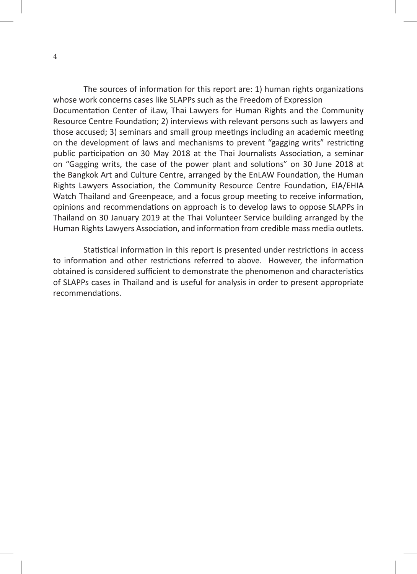The sources of information for this report are: 1) human rights organizations whose work concerns cases like SLAPPs such as the Freedom of Expression Documentation Center of iLaw, Thai Lawyers for Human Rights and the Community Resource Centre Foundation; 2) interviews with relevant persons such as lawyers and those accused; 3) seminars and small group meetings including an academic meeting on the development of laws and mechanisms to prevent "gagging writs" restricting public participation on 30 May 2018 at the Thai Journalists Association, a seminar on "Gagging writs, the case of the power plant and solutions" on 30 June 2018 at the Bangkok Art and Culture Centre, arranged by the EnLAW Foundation, the Human Rights Lawyers Association, the Community Resource Centre Foundation, EIA/EHIA Watch Thailand and Greenpeace, and a focus group meeting to receive information, opinions and recommendations on approach is to develop laws to oppose SLAPPs in Thailand on 30 January 2019 at the Thai Volunteer Service building arranged by the Human Rights Lawyers Association, and information from credible mass media outlets.

Statistical information in this report is presented under restrictions in access to information and other restrictions referred to above. However, the information obtained is considered sufficient to demonstrate the phenomenon and characteristics of SLAPPs cases in Thailand and is useful for analysis in order to present appropriate recommendations.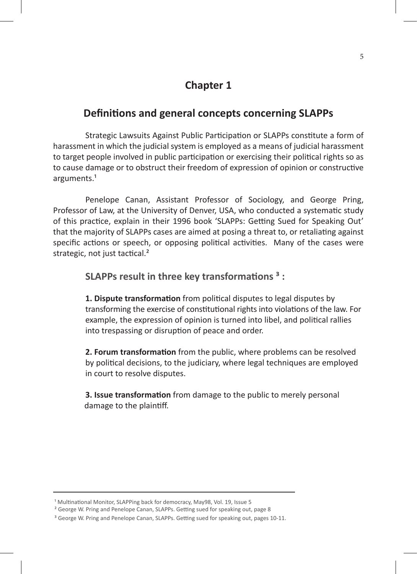# **Chapter 1**

### **Definitions and general concepts concerning SLAPPs**

Strategic Lawsuits Against Public Participation or SLAPPs constitute a form of harassment in which the judicial system is employed as a means of judicial harassment to target people involved in public participation or exercising their political rights so as to cause damage or to obstruct their freedom of expression of opinion or constructive arguments.<sup>1</sup>

Penelope Canan, Assistant Professor of Sociology, and George Pring, Professor of Law, at the University of Denver, USA, who conducted a systematic study of this practice, explain in their 1996 book 'SLAPPs: Getting Sued for Speaking Out' that the majority of SLAPPs cases are aimed at posing a threat to, or retaliating against specific actions or speech, or opposing political activities. Many of the cases were strategic, not just tactical.<sup>2</sup>

**SLAPPs result in three key transformations ³ :**

**1. Dispute transformation** from political disputes to legal disputes by transforming the exercise of constitutional rights into violations of the law. For example, the expression of opinion is turned into libel, and political rallies into trespassing or disruption of peace and order.

**2. Forum transformation** from the public, where problems can be resolved by political decisions, to the judiciary, where legal techniques are employed in court to resolve disputes.

**3. Issue transformation** from damage to the public to merely personal damage to the plaintiff.

<sup>&</sup>lt;sup>1</sup> Multinational Monitor, SLAPPing back for democracy, May98, Vol. 19, Issue 5

² George W. Pring and Penelope Canan, SLAPPs. Getting sued for speaking out, page 8

<sup>&</sup>lt;sup>3</sup> George W. Pring and Penelope Canan, SLAPPs. Getting sued for speaking out, pages 10-11.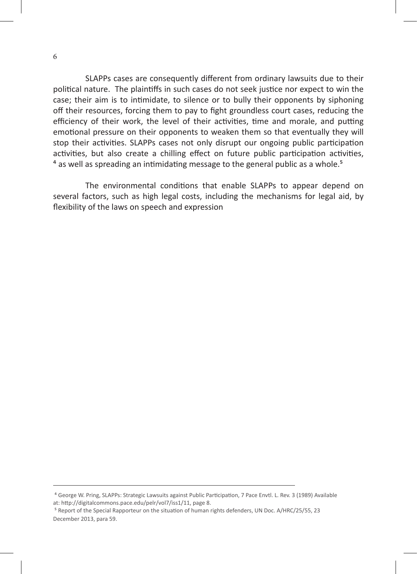SLAPPs cases are consequently different from ordinary lawsuits due to their political nature. The plaintiffs in such cases do not seek justice nor expect to win the case; their aim is to intimidate, to silence or to bully their opponents by siphoning off their resources, forcing them to pay to fight groundless court cases, reducing the efficiency of their work, the level of their activities, time and morale, and putting emotional pressure on their opponents to weaken them so that eventually they will stop their activities. SLAPPs cases not only disrupt our ongoing public participation activities, but also create a chilling effect on future public participation activities, <sup>4</sup> as well as spreading an intimidating message to the general public as a whole.<sup>5</sup>

The environmental conditions that enable SLAPPs to appear depend on several factors, such as high legal costs, including the mechanisms for legal aid, by flexibility of the laws on speech and expression

⁴ George W. Pring, SLAPPs: Strategic Lawsuits against Public Participation, 7 Pace Envtl. L. Rev. 3 (1989) Available at: http://digitalcommons.pace.edu/pelr/vol7/iss1/11, page 8.

⁵ Report of the Special Rapporteur on the situation of human rights defenders, UN Doc. A/HRC/25/55, 23 December 2013, para 59.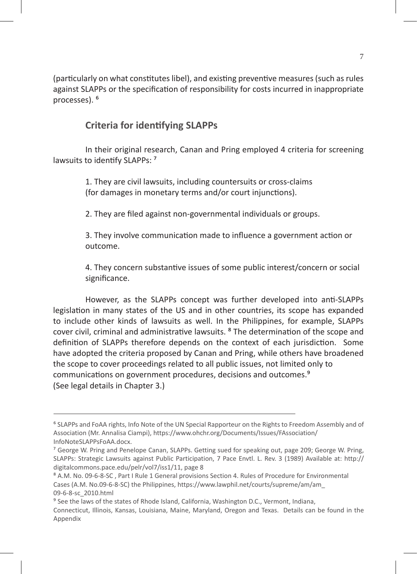(particularly on what constitutes libel), and existing preventive measures (such as rules against SLAPPs or the specification of responsibility for costs incurred in inappropriate processes). <sup>6</sup>

### **Criteria for identifying SLAPPs**

In their original research, Canan and Pring employed 4 criteria for screening lawsuits to identify SLAPPs: 7

> 1. They are civil lawsuits, including countersuits or cross-claims (for damages in monetary terms and/or court injunctions).

2. They are filed against non-governmental individuals or groups.

3. They involve communication made to influence a government action or outcome.

4. They concern substantive issues of some public interest/concern or social significance.

However, as the SLAPPs concept was further developed into anti-SLAPPs legislation in many states of the US and in other countries, its scope has expanded to include other kinds of lawsuits as well. In the Philippines, for example, SLAPPs cover civil, criminal and administrative lawsuits. ⁸ The determination of the scope and definition of SLAPPs therefore depends on the context of each jurisdiction. Some have adopted the criteria proposed by Canan and Pring, while others have broadened the scope to cover proceedings related to all public issues, not limited only to communications on government procedures, decisions and outcomes.⁹ (See legal details in Chapter 3.)

⁶ SLAPPs and FoAA rights, Info Note of the UN Special Rapporteur on the Rights to Freedom Assembly and of Association (Mr. Annalisa Ciampi), https://www.ohchr.org/Documents/Issues/FAssociation/ InfoNoteSLAPPsFoAA.docx.

⁷ George W. Pring and Penelope Canan, SLAPPs. Getting sued for speaking out, page 209; George W. Pring, SLAPPs: Strategic Lawsuits against Public Participation, 7 Pace Envtl. L. Rev. 3 (1989) Available at: http:// digitalcommons.pace.edu/pelr/vol7/iss1/11, page 8

⁸ A.M. No. 09-6-8-SC , Part I Rule 1 General provisions Section 4. Rules of Procedure for Environmental Cases (A.M. No.09-6-8-SC) the Philippines, https://www.lawphil.net/courts/supreme/am/am\_ 09-6-8-sc\_2010.html

<sup>&</sup>lt;sup>9</sup> See the laws of the states of Rhode Island, California, Washington D.C., Vermont, Indiana, Connecticut, Illinois, Kansas, Louisiana, Maine, Maryland, Oregon and Texas. Details can be found in the Appendix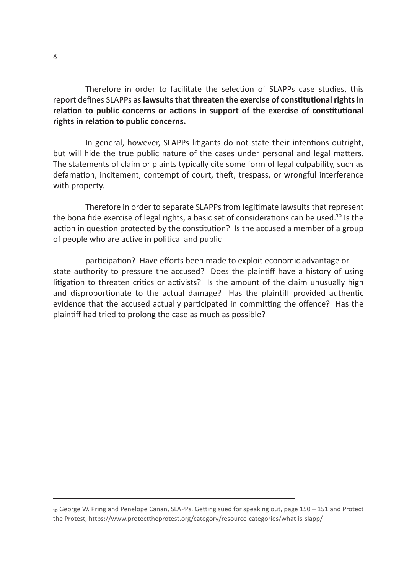Therefore in order to facilitate the selection of SLAPPs case studies, this report defines SLAPPs as **lawsuits that threaten the exercise of constitutional rights in relation to public concerns or actions in support of the exercise of constitutional rights in relation to public concerns.**

In general, however, SLAPPs litigants do not state their intentions outright, but will hide the true public nature of the cases under personal and legal matters. The statements of claim or plaints typically cite some form of legal culpability, such as defamation, incitement, contempt of court, theft, trespass, or wrongful interference with property.

Therefore in order to separate SLAPPs from legitimate lawsuits that represent the bona fide exercise of legal rights, a basic set of considerations can be used.<sup>10</sup> Is the action in question protected by the constitution? Is the accused a member of a group of people who are active in political and public

participation? Have efforts been made to exploit economic advantage or state authority to pressure the accused? Does the plaintiff have a history of using litigation to threaten critics or activists? Is the amount of the claim unusually high and disproportionate to the actual damage? Has the plaintiff provided authentic evidence that the accused actually participated in committing the offence? Has the plaintiff had tried to prolong the case as much as possible?

<sup>10</sup> George W. Pring and Penelope Canan, SLAPPs. Getting sued for speaking out, page 150 - 151 and Protect the Protest, https://www.protecttheprotest.org/category/resource-categories/what-is-slapp/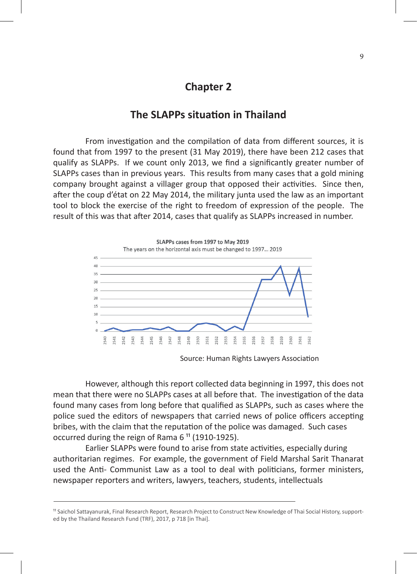### **Chapter 2**

## **The SLAPPs situation in Thailand**

From investigation and the compilation of data from different sources, it is found that from 1997 to the present (31 May 2019), there have been 212 cases that qualify as SLAPPs. If we count only 2013, we find a significantly greater number of SLAPPs cases than in previous years. This results from many cases that a gold mining company brought against a villager group that opposed their activities. Since then, after the coup d'état on 22 May 2014, the military junta used the law as an important tool to block the exercise of the right to freedom of expression of the people. The result of this was that after 2014, cases that qualify as SLAPPs increased in number.



Source: Human Rights Lawyers Association

However, although this report collected data beginning in 1997, this does not mean that there were no SLAPPs cases at all before that. The investigation of the data found many cases from long before that qualified as SLAPPs, such as cases where the police sued the editors of newspapers that carried news of police officers accepting bribes, with the claim that the reputation of the police was damaged. Such cases occurred during the reign of Rama  $6<sup>11</sup>$  (1910-1925).

Earlier SLAPPs were found to arise from state activities, especially during authoritarian regimes. For example, the government of Field Marshal Sarit Thanarat used the Anti- Communist Law as a tool to deal with politicians, former ministers, newspaper reporters and writers, lawyers, teachers, students, intellectuals

<sup>11</sup> Saichol Sattayanurak, Final Research Report, Research Project to Construct New Knowledge of Thai Social History, supported by the Thailand Research Fund (TRF), 2017, p 718 [in Thai].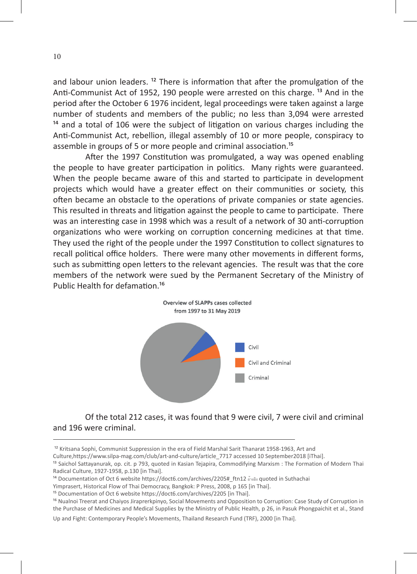and labour union leaders.  $12$  There is information that after the promulgation of the Anti-Communist Act of 1952, 190 people were arrested on this charge. <sup>13</sup> And in the period after the October 6 1976 incident, legal proceedings were taken against a large number of students and members of the public; no less than 3,094 were arrested  $14$  and a total of 106 were the subject of litigation on various charges including the Anti-Communist Act, rebellion, illegal assembly of 10 or more people, conspiracy to assemble in groups of 5 or more people and criminal association.<sup>15</sup>

After the 1997 Constitution was promulgated, a way was opened enabling the people to have greater participation in politics. Many rights were guaranteed. When the people became aware of this and started to participate in development projects which would have a greater effect on their communities or society, this often became an obstacle to the operations of private companies or state agencies. This resulted in threats and litigation against the people to came to participate. There was an interesting case in 1998 which was a result of a network of 30 anti-corruption organizations who were working on corruption concerning medicines at that time. They used the right of the people under the 1997 Constitution to collect signatures to recall political office holders. There were many other movements in different forms, such as submitting open letters to the relevant agencies. The result was that the core members of the network were sued by the Permanent Secretary of the Ministry of Public Health for defamation.<sup>16</sup>



Of the total 212 cases, it was found that 9 were civil, 7 were civil and criminal and 196 were criminal.

<sup>&</sup>lt;sup>12</sup> Kritsana Sophi, Communist Suppression in the era of Field Marshal Sarit Thanarat 1958-1963, Art and

Culture,https://www.silpa-mag.com/club/art-and-culture/article\_7717 accessed 10 September2018 [iThai].

<sup>&</sup>lt;sup>13</sup> Saichol Sattayanurak, op. cit. p 793, quoted in Kasian Tejapira, Commodifying Marxism : The Formation of Modern Thai Radical Culture, 1927-1958, p.130 [in Thai].

<sup>14</sup> Documentation of Oct 6 website https://doct6.com/archives/2205# ftn12 อ้างอิง quoted in Suthachai

Yimprasert, Historical Flow of Thai Democracy, Bangkok: P Press, 2008, p 165 [in Thai].

<sup>&</sup>lt;sup>15</sup> Documentation of Oct 6 website https://doct6.com/archives/2205 [in Thai].

<sup>&</sup>lt;sup>16</sup> Nualnoi Treerat and Chaiyos Jiraprerkpinyo, Social Movements and Opposition to Corruption: Case Study of Corruption in the Purchase of Medicines and Medical Supplies by the Ministry of Public Health, p 26, in Pasuk Phongpaichit et al., Stand

Up and Fight: Contemporary People's Movements, Thailand Research Fund (TRF), 2000 [in Thai].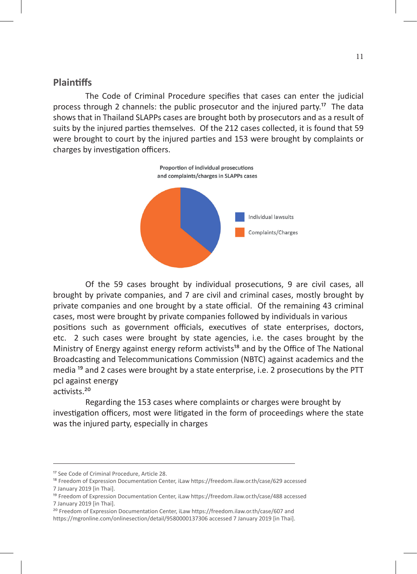#### **Plaintiffs**

The Code of Criminal Procedure specifies that cases can enter the judicial process through 2 channels: the public prosecutor and the injured party.<sup>17</sup> The data shows that in Thailand SLAPPs cases are brought both by prosecutors and as a result of suits by the injured parties themselves. Of the 212 cases collected, it is found that 59 were brought to court by the injured parties and 153 were brought by complaints or charges by investigation officers.



Of the 59 cases brought by individual prosecutions, 9 are civil cases, all brought by private companies, and 7 are civil and criminal cases, mostly brought by private companies and one brought by a state official. Of the remaining 43 criminal cases, most were brought by private companies followed by individuals in various positions such as government officials, executives of state enterprises, doctors, etc. 2 such cases were brought by state agencies, i.e. the cases brought by the Ministry of Energy against energy reform activists<sup>18</sup> and by the Office of The National Broadcasting and Telecommunications Commission (NBTC) against academics and the media <sup>19</sup> and 2 cases were brought by a state enterprise, i.e. 2 prosecutions by the PTT pcl against energy activists.²⁰

Regarding the 153 cases where complaints or charges were brought by investigation officers, most were litigated in the form of proceedings where the state was the injured party, especially in charges

<sup>&</sup>lt;sup>17</sup> See Code of Criminal Procedure, Article 28.

<sup>&</sup>lt;sup>18</sup> Freedom of Expression Documentation Center, iLaw https://freedom.ilaw.or.th/case/629 accessed 7 January 2019 [in Thai].

<sup>&</sup>lt;sup>19</sup> Freedom of Expression Documentation Center, iLaw https://freedom.ilaw.or.th/case/488 accessed 7 January 2019 [in Thai].

<sup>&</sup>lt;sup>20</sup> Freedom of Expression Documentation Center, iLaw https://freedom.ilaw.or.th/case/607 and https://mgronline.com/onlinesection/detail/9580000137306 accessed 7 January 2019 [in Thai].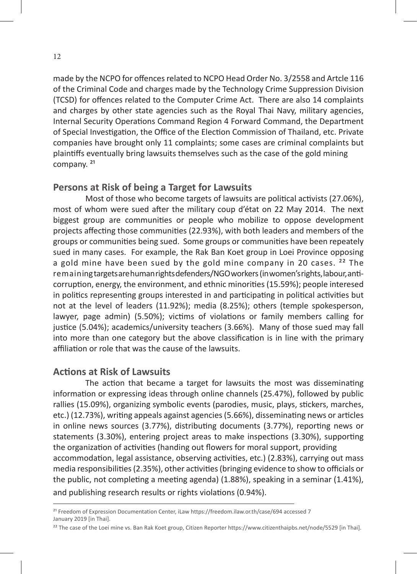made by the NCPO for offences related to NCPO Head Order No. 3/2558 and Artcle 116 of the Criminal Code and charges made by the Technology Crime Suppression Division (TCSD) for offences related to the Computer Crime Act. There are also 14 complaints and charges by other state agencies such as the Royal Thai Navy, military agencies, Internal Security Operations Command Region 4 Forward Command, the Department of Special Investigation, the Office of the Election Commission of Thailand, etc. Private companies have brought only 11 complaints; some cases are criminal complaints but plaintiffs eventually bring lawsuits themselves such as the case of the gold mining company.<sup>21</sup>

### **Persons at Risk of being a Target for Lawsuits**

Most of those who become targets of lawsuits are political activists (27.06%), most of whom were sued after the military coup d'état on 22 May 2014. The next biggest group are communities or people who mobilize to oppose development projects affecting those communities (22.93%), with both leaders and members of the groups or communities being sued. Some groups or communities have been repeately sued in many cases. For example, the Rak Ban Koet group in Loei Province opposing a gold mine have been sued by the gold mine company in 20 cases. <sup>22</sup> The remaining targets are human rights defenders/NGO workers (in women's rights, labour, anticorruption, energy, the environment, and ethnic minorities (15.59%); people interesed in politics representing groups interested in and participating in political activities but not at the level of leaders (11.92%); media (8.25%); others (temple spokesperson, lawyer, page admin) (5.50%); victims of violations or family members calling for justice (5.04%); academics/university teachers (3.66%). Many of those sued may fall into more than one category but the above classification is in line with the primary affiliation or role that was the cause of the lawsuits.

### **Actions at Risk of Lawsuits**

The action that became a target for lawsuits the most was disseminating information or expressing ideas through online channels (25.47%), followed by public rallies (15.09%), organizing symbolic events (parodies, music, plays, stickers, marches, etc.) (12.73%), writing appeals against agencies (5.66%), disseminating news or articles in online news sources (3.77%), distributing documents (3.77%), reporting news or statements (3.30%), entering project areas to make inspections (3.30%), supporting the organization of activities (handing out flowers for moral support, providing accommodation, legal assistance, observing activities, etc.) (2.83%), carrying out mass media responsibilities (2.35%), other activities (bringing evidence to show to officials or the public, not completing a meeting agenda) (1.88%), speaking in a seminar (1.41%), and publishing research results or rights violations (0.94%).

<sup>&</sup>lt;sup>21</sup> Freedom of Expression Documentation Center, iLaw https://freedom.ilaw.or.th/case/694 accessed 7 January 2019 [in Thai].

<sup>&</sup>lt;sup>22</sup> The case of the Loei mine vs. Ban Rak Koet group, Citizen Reporter https://www.citizenthaipbs.net/node/5529 [in Thai].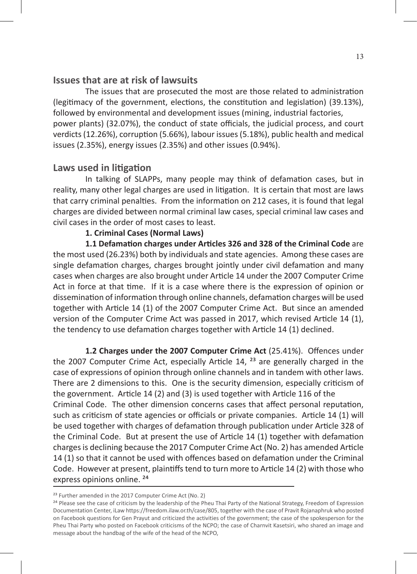### **Issues that are at risk of lawsuits**

The issues that are prosecuted the most are those related to administration (legitimacy of the government, elections, the constitution and legislation) (39.13%), followed by environmental and development issues (mining, industrial factories, power plants) (32.07%), the conduct of state officials, the judicial process, and court verdicts (12.26%), corruption (5.66%), labour issues (5.18%), public health and medical issues (2.35%), energy issues (2.35%) and other issues (0.94%).

#### **Laws used in litigation**

In talking of SLAPPs, many people may think of defamation cases, but in reality, many other legal charges are used in litigation. It is certain that most are laws that carry criminal penalties. From the information on 212 cases, it is found that legal charges are divided between normal criminal law cases, special criminal law cases and civil cases in the order of most cases to least.

#### **1. Criminal Cases (Normal Laws)**

**1.1 Defamation charges under Articles 326 and 328 of the Criminal Code** are the most used (26.23%) both by individuals and state agencies. Among these cases are single defamation charges, charges brought jointly under civil defamation and many cases when charges are also brought under Article 14 under the 2007 Computer Crime Act in force at that time. If it is a case where there is the expression of opinion or dissemination of information through online channels, defamation charges will be used together with Article 14 (1) of the 2007 Computer Crime Act. But since an amended version of the Computer Crime Act was passed in 2017, which revised Article 14 (1), the tendency to use defamation charges together with Article 14 (1) declined.

**1.2 Charges under the 2007 Computer Crime Act** (25.41%). Offences under the 2007 Computer Crime Act, especially Article 14,  $^{23}$  are generally charged in the case of expressions of opinion through online channels and in tandem with other laws. There are 2 dimensions to this. One is the security dimension, especially criticism of the government. Article 14 (2) and (3) is used together with Article 116 of the Criminal Code. The other dimension concerns cases that affect personal reputation, such as criticism of state agencies or officials or private companies. Article 14 (1) will be used together with charges of defamation through publication under Article 328 of the Criminal Code. But at present the use of Article 14 (1) together with defamation charges is declining because the 2017 Computer Crime Act (No. 2) has amended Article 14 (1) so that it cannot be used with offences based on defamation under the Criminal Code. However at present, plaintiffs tend to turn more to Article 14 (2) with those who express opinions online.<sup>24</sup>

<sup>&</sup>lt;sup>23</sup> Further amended in the 2017 Computer Crime Act (No. 2)

<sup>&</sup>lt;sup>24</sup> Please see the case of criticism by the leadership of the Pheu Thai Party of the National Strategy, Freedom of Expression Documentation Center, iLaw https://freedom.ilaw.or.th/case/805, together with the case of Pravit Rojanaphruk who posted on Facebook questions for Gen Prayut and criticized the activities of the government; the case of the spokesperson for the Pheu Thai Party who posted on Facebook criticisms of the NCPO; the case of Charnvit Kasetsiri, who shared an image and message about the handbag of the wife of the head of the NCPO,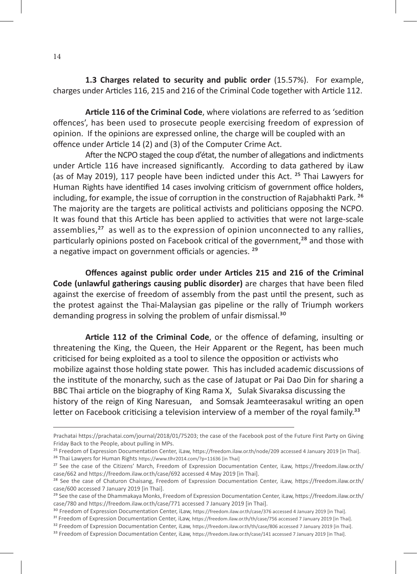**1.3 Charges related to security and public order** (15.57%). For example, charges under Articles 116, 215 and 216 of the Criminal Code together with Article 112.

**Article 116 of the Criminal Code**, where violations are referred to as 'sedition offences', has been used to prosecute people exercising freedom of expression of opinion. If the opinions are expressed online, the charge will be coupled with an offence under Article 14 (2) and (3) of the Computer Crime Act.

After the NCPO staged the coup d'état, the number of allegations and indictments under Article 116 have increased significantly. According to data gathered by iLaw (as of May 2019), 117 people have been indicted under this Act.  $^{25}$  Thai Lawyers for Human Rights have identified 14 cases involving criticism of government office holders, including, for example, the issue of corruption in the construction of Rajabhakti Park.<sup>26</sup> The majority are the targets are political activists and politicians opposing the NCPO. It was found that this Article has been applied to activities that were not large-scale assemblies, $27$  as well as to the expression of opinion unconnected to any rallies, particularly opinions posted on Facebook critical of the government, $^{28}$  and those with a negative impact on government officials or agencies.<sup>29</sup>

**Offences against public order under Articles 215 and 216 of the Criminal Code (unlawful gatherings causing public disorder)** are charges that have been filed against the exercise of freedom of assembly from the past until the present, such as the protest against the Thai-Malaysian gas pipeline or the rally of Triumph workers demanding progress in solving the problem of unfair dismissal.<sup>30</sup>

**Article 112 of the Criminal Code**, or the offence of defaming, insulting or threatening the King, the Queen, the Heir Apparent or the Regent, has been much criticised for being exploited as a tool to silence the opposition or activists who mobilize against those holding state power. This has included academic discussions of the institute of the monarchy, such as the case of Jatupat or Pai Dao Din for sharing a BBC Thai article on the biography of King Rama X, Sulak Sivaraksa discussing the history of the reign of King Naresuan, and Somsak Jeamteerasakul writing an open letter on Facebook criticising a television interview of a member of the royal family.<sup>33</sup>

Prachatai https://prachatai.com/journal/2018/01/75203; the case of the Facebook post of the Future First Party on Giving Friday Back to the People, about pulling in MPs.

<sup>&</sup>lt;sup>25</sup> Freedom of Expression Documentation Center, iLaw, https://freedom.ilaw.or.th/node/209 accessed 4 January 2019 [in Thai].

<sup>&</sup>lt;sup>26</sup> Thai Lawyers for Human Rights https://www.tlhr2014.com/?p=11636 [in Thai]

<sup>&</sup>lt;sup>27</sup> See the case of the Citizens' March, Freedom of Expression Documentation Center, iLaw, https://freedom.ilaw.or.th/ case/662 and https://freedom.ilaw.or.th/case/692 accessed 4 May 2019 [in Thai].

<sup>&</sup>lt;sup>28</sup> See the case of Chaturon Chaisang, Freedom of Expression Documentation Center, iLaw, https://freedom.ilaw.or.th/ case/600 accessed 7 January 2019 [in Thai].

<sup>&</sup>lt;sup>29</sup> See the case of the Dhammakaya Monks, Freedom of Expression Documentation Center, iLaw, https://freedom.ilaw.or.th/ case/780 and https://freedom.ilaw.or.th/case/771 accessed 7 January 2019 [in Thai].

<sup>&</sup>lt;sup>30</sup> Freedom of Expression Documentation Center, iLaw, https://freedom.ilaw.or.th/case/376 accessed 4 January 2019 [in Thai].

<sup>&</sup>lt;sup>31</sup> Freedom of Expression Documentation Center, iLaw, https://freedom.ilaw.or.th/th/case/756 accessed 7 January 2019 [in Thai].

<sup>&</sup>lt;sup>32</sup> Freedom of Expression Documentation Center, iLaw, https://freedom.ilaw.or.th/th/case/806 accessed 7 January 2019 [in Thai].

<sup>&</sup>lt;sup>33</sup> Freedom of Expression Documentation Center, iLaw, https://freedom.ilaw.or.th/case/141 accessed 7 January 2019 [in Thai].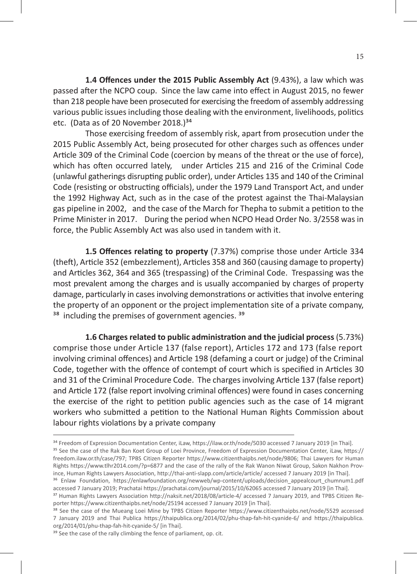**1.4 Offences under the 2015 Public Assembly Act** (9.43%), a law which was passed after the NCPO coup. Since the law came into effect in August 2015, no fewer than 218 people have been prosecuted for exercising the freedom of assembly addressing various public issues including those dealing with the environment, livelihoods, politics etc. (Data as of 20 November 2018.) $34$ 

Those exercising freedom of assembly risk, apart from prosecution under the 2015 Public Assembly Act, being prosecuted for other charges such as offences under Article 309 of the Criminal Code (coercion by means of the threat or the use of force), which has often occurred lately, under Articles 215 and 216 of the Criminal Code (unlawful gatherings disrupting public order), under Articles 135 and 140 of the Criminal Code (resisting or obstructing officials), under the 1979 Land Transport Act, and under the 1992 Highway Act, such as in the case of the protest against the Thai-Malaysian gas pipeline in 2002, and the case of the March for Thepha to submit a petition to the Prime Minister in 2017. During the period when NCPO Head Order No. 3/2558 was in force, the Public Assembly Act was also used in tandem with it.

**1.5 Offences relating to property** (7.37%) comprise those under Article 334 (theft), Article 352 (embezzlement), Articles 358 and 360 (causing damage to property) and Articles 362, 364 and 365 (trespassing) of the Criminal Code. Trespassing was the most prevalent among the charges and is usually accompanied by charges of property damage, particularly in cases involving demonstrations or activities that involve entering the property of an opponent or the project implementation site of a private company,  $38$  including the premises of government agencies.  $39$ 

**1.6 Charges related to public administration and the judicial process** (5.73%) comprise those under Article 137 (false report), Articles 172 and 173 (false report involving criminal offences) and Article 198 (defaming a court or judge) of the Criminal Code, together with the offence of contempt of court which is specified in Articles 30 and 31 of the Criminal Procedure Code. The charges involving Article 137 (false report) and Article 172 (false report involving criminal offences) were found in cases concerning the exercise of the right to petition public agencies such as the case of 14 migrant workers who submitted a petition to the National Human Rights Commission about labour rights violations by a private company

35 See the case of the Rak Ban Koet Group of Loei Province, Freedom of Expression Documentation Center, iLaw, https:// freedom.ilaw.or.th/case/797; TPBS Citizen Reporter https://www.citizenthaipbs.net/node/9806; Thai Lawyers for Human Rights https://www.tlhr2014.com/?p=6877 and the case of the rally of the Rak Wanon Niwat Group, Sakon Nakhon Province, Human Rights Lawyers Association, http://thai-anti-slapp.com/article/article/ accessed 7 January 2019 [in Thai]. ³⁶ Enlaw Foundation, https://enlawfoundation.org/newweb/wp-content/uploads/decision\_appealcourt\_chumnum1.pdf

accessed 7 January 2019; Prachatai https://prachatai.com/journal/2015/10/62065 accessed 7 January 2019 [in Thai].

<sup>&</sup>lt;sup>34</sup> Freedom of Expression Documentation Center, iLaw, https://ilaw.or.th/node/5030 accessed 7 January 2019 [in Thai].

<sup>&</sup>lt;sup>37</sup> Human Rights Lawyers Association http://naksit.net/2018/08/article-4/ accessed 7 January 2019, and TPBS Citizen Reporter https://www.citizenthaipbs.net/node/25194 accessed 7 January 2019 [in Thai].

<sup>38</sup> See the case of the Mueang Loei Mine by TPBS Citizen Reporter https://www.citizenthaipbs.net/node/5529 accessed 7 January 2019 and Thai Publica https://thaipublica.org/2014/02/phu-thap-fah-hit-cyanide-6/ and https://thaipublica. org/2014/01/phu-thap-fah-hit-cyanide-5/ [in Thai].

<sup>&</sup>lt;sup>39</sup> See the case of the rally climbing the fence of parliament, op. cit.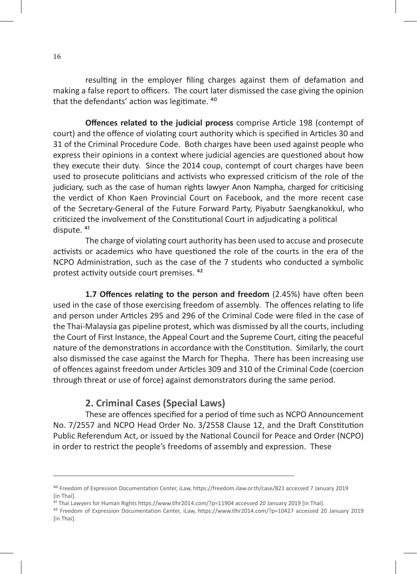resulting in the employer filing charges against them of defamation and making a false report to officers. The court later dismissed the case giving the opinion that the defendants' action was legitimate. <sup>40</sup>

**Offences related to the judicial process** comprise Article 198 (contempt of court) and the offence of violating court authority which is specified in Articles 30 and 31 of the Criminal Procedure Code. Both charges have been used against people who express their opinions in a context where judicial agencies are questioned about how they execute their duty. Since the 2014 coup, contempt of court charges have been used to prosecute politicians and activists who expressed criticism of the role of the judiciary, such as the case of human rights lawyer Anon Nampha, charged for criticising the verdict of Khon Kaen Provincial Court on Facebook, and the more recent case of the Secretary-General of the Future Forward Party, Piyabutr Saengkanokkul, who criticized the involvement of the Constitutional Court in adjudicating a political dispute.<sup>41</sup>

The charge of violating court authority has been used to accuse and prosecute activists or academics who have questioned the role of the courts in the era of the NCPO Administration, such as the case of the 7 students who conducted a symbolic protest activity outside court premises. <sup>42</sup>

**1.7 Offences relating to the person and freedom** (2.45%) have often been used in the case of those exercising freedom of assembly. The offences relating to life and person under Articles 295 and 296 of the Criminal Code were filed in the case of the Thai-Malaysia gas pipeline protest, which was dismissed by all the courts, including the Court of First Instance, the Appeal Court and the Supreme Court, citing the peaceful nature of the demonstrations in accordance with the Constitution. Similarly, the court also dismissed the case against the March for Thepha. There has been increasing use of offences against freedom under Articles 309 and 310 of the Criminal Code (coercion through threat or use of force) against demonstrators during the same period.

### **2. Criminal Cases (Special Laws)**

These are offences specified for a period of time such as NCPO Announcement No. 7/2557 and NCPO Head Order No. 3/2558 Clause 12, and the Draft Constitution Public Referendum Act, or issued by the National Council for Peace and Order (NCPO) in order to restrict the people's freedoms of assembly and expression. These

⁴⁰ Freedom of Expression Documentation Center, iLaw, https://freedom.ilaw.or.th/case/821 accessed 7 January 2019 [in Thai].

<sup>&</sup>lt;sup>41</sup> Thai Lawyers for Human Rights https://www.tlhr2014.com/?p=11904 accessed 20 January 2019 [in Thai].

⁴² Freedom of Expression Documentation Center, iLaw, https://www.tlhr2014.com/?p=10427 accessed 20 January 2019 [in Thai].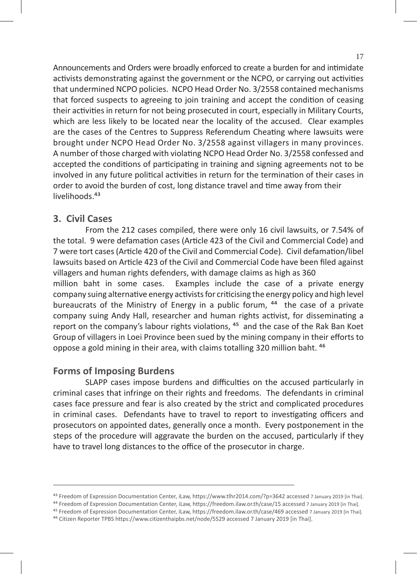Announcements and Orders were broadly enforced to create a burden for and intimidate activists demonstrating against the government or the NCPO, or carrying out activities that undermined NCPO policies. NCPO Head Order No. 3/2558 contained mechanisms that forced suspects to agreeing to join training and accept the condition of ceasing their activities in return for not being prosecuted in court, especially in Military Courts, which are less likely to be located near the locality of the accused. Clear examples are the cases of the Centres to Suppress Referendum Cheating where lawsuits were brought under NCPO Head Order No. 3/2558 against villagers in many provinces. A number of those charged with violating NCPO Head Order No. 3/2558 confessed and accepted the conditions of participating in training and signing agreements not to be involved in any future political activities in return for the termination of their cases in order to avoid the burden of cost, long distance travel and time away from their livelihoods.<sup>43</sup>

## **3. Civil Cases**

From the 212 cases compiled, there were only 16 civil lawsuits, or 7.54% of the total. 9 were defamation cases (Article 423 of the Civil and Commercial Code) and 7 were tort cases (Article 420 of the Civil and Commercial Code). Civil defamation/libel lawsuits based on Article 423 of the Civil and Commercial Code have been filed against villagers and human rights defenders, with damage claims as high as 360 million baht in some cases. Examples include the case of a private energy company suing alternative energy activists for criticising the energy policy and high level bureaucrats of the Ministry of Energy in a public forum,  $44$  the case of a private company suing Andy Hall, researcher and human rights activist, for disseminating a report on the company's labour rights violations, <sup>45</sup> and the case of the Rak Ban Koet Group of villagers in Loei Province been sued by the mining company in their efforts to oppose a gold mining in their area, with claims totalling 320 million baht. <sup>46</sup>

#### **Forms of Imposing Burdens**

SLAPP cases impose burdens and difficulties on the accused particularly in criminal cases that infringe on their rights and freedoms. The defendants in criminal cases face pressure and fear is also created by the strict and complicated procedures in criminal cases. Defendants have to travel to report to investigating officers and prosecutors on appointed dates, generally once a month. Every postponement in the steps of the procedure will aggravate the burden on the accused, particularly if they have to travel long distances to the office of the prosecutor in charge.

<sup>43</sup> Freedom of Expression Documentation Center, iLaw, https://www.tlhr2014.com/?p=3642 accessed 7 January 2019 [in Thai].

<sup>44</sup> Freedom of Expression Documentation Center, iLaw, https://freedom.ilaw.or.th/case/15 accessed 7 January 2019 [in Thai].

⁴⁵ Freedom of Expression Documentation Center, iLaw, https://freedom.ilaw.or.th/case/469 accessed 7 January 2019 [in Thai].

⁴⁶ Citizen Reporter TPBS https://www.citizenthaipbs.net/node/5529 accessed 7 January 2019 [in Thai].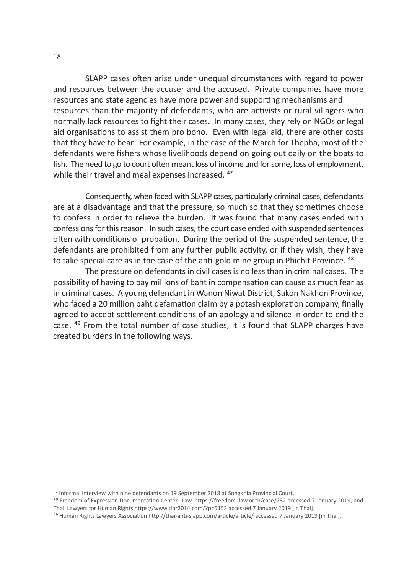SLAPP cases often arise under unequal circumstances with regard to power and resources between the accuser and the accused. Private companies have more resources and state agencies have more power and supporting mechanisms and resources than the majority of defendants, who are activists or rural villagers who normally lack resources to fight their cases. In many cases, they rely on NGOs or legal aid organisations to assist them pro bono. Even with legal aid, there are other costs that they have to bear. For example, in the case of the March for Thepha, most of the defendants were fishers whose livelihoods depend on going out daily on the boats to fish. The need to go to court often meant loss of income and for some, loss of employment, while their travel and meal expenses increased.<sup>47</sup>

Consequently, when faced with SLAPP cases, particularly criminal cases, defendants are at a disadvantage and that the pressure, so much so that they sometimes choose to confess in order to relieve the burden. It was found that many cases ended with confessions for this reason. In such cases, the court case ended with suspended sentences often with conditions of probation. During the period of the suspended sentence, the defendants are prohibited from any further public activity, or if they wish, they have to take special care as in the case of the anti-gold mine group in Phichit Province. <sup>48</sup>

The pressure on defendants in civil cases is no less than in criminal cases. The possibility of having to pay millions of baht in compensation can cause as much fear as in criminal cases. A young defendant in Wanon Niwat District, Sakon Nakhon Province, who faced a 20 million baht defamation claim by a potash exploration company, finally agreed to accept settlement conditions of an apology and silence in order to end the case. <sup>49</sup> From the total number of case studies, it is found that SLAPP charges have created burdens in the following ways.

<sup>&</sup>lt;sup>47</sup> Informal interview with nine defendants on 19 September 2018 at Songkhla Provincial Court.

⁴⁸ Freedom of Expression Documentation Center, iLaw, https://freedom.ilaw.or.th/case/782 accessed 7 January 2019, and Thai Lawyers for Human Rights https://www.tlhr2014.com/?p=5152 accessed 7 January 2019 [in Thai].

<sup>&</sup>lt;sup>49</sup> Human Rights Lawyers Association http://thai-anti-slapp.com/article/article/ accessed 7 January 2019 [in Thai].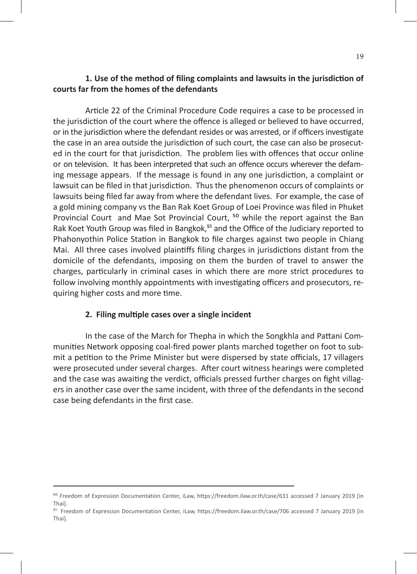### **1. Use of the method of filing complaints and lawsuits in the jurisdiction of courts far from the homes of the defendants**

Article 22 of the Criminal Procedure Code requires a case to be processed in the jurisdiction of the court where the offence is alleged or believed to have occurred, or in the jurisdiction where the defendant resides or was arrested, or if officers investigate the case in an area outside the jurisdiction of such court, the case can also be prosecuted in the court for that jurisdiction. The problem lies with offences that occur online or on television. It has been interpreted that such an offence occurs wherever the defaming message appears. If the message is found in any one jurisdiction, a complaint or lawsuit can be filed in that jurisdiction. Thus the phenomenon occurs of complaints or lawsuits being filed far away from where the defendant lives. For example, the case of a gold mining company vs the Ban Rak Koet Group of Loei Province was filed in Phuket Provincial Court and Mae Sot Provincial Court, <sup>50</sup> while the report against the Ban Rak Koet Youth Group was filed in Bangkok,<sup>51</sup> and the Office of the Judiciary reported to Phahonyothin Police Station in Bangkok to file charges against two people in Chiang Mai. All three cases involved plaintiffs filing charges in jurisdictions distant from the domicile of the defendants, imposing on them the burden of travel to answer the charges, particularly in criminal cases in which there are more strict procedures to follow involving monthly appointments with investigating officers and prosecutors, requiring higher costs and more time.

#### **2. Filing multiple cases over a single incident**

In the case of the March for Thepha in which the Songkhla and Pattani Communities Network opposing coal-fired power plants marched together on foot to submit a petition to the Prime Minister but were dispersed by state officials, 17 villagers were prosecuted under several charges. After court witness hearings were completed and the case was awaiting the verdict, officials pressed further charges on fight villagers in another case over the same incident, with three of the defendants in the second case being defendants in the first case.

⁵⁰ Freedom of Expression Documentation Center, iLaw, https://freedom.ilaw.or.th/case/631 accessed 7 January 2019 [in Thai].

<sup>&</sup>lt;sup>51</sup> Freedom of Expression Documentation Center, iLaw, https://freedom.ilaw.or.th/case/706 accessed 7 January 2019 [in Thai].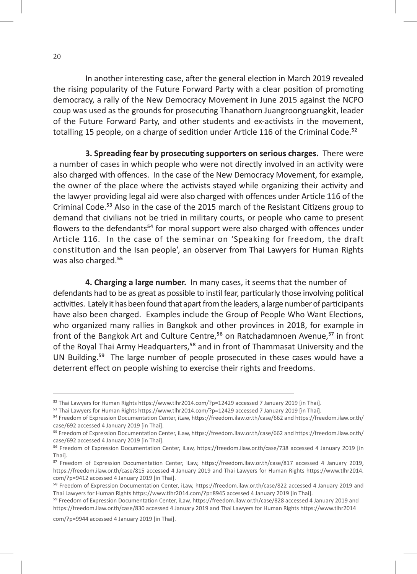In another interesting case, after the general election in March 2019 revealed the rising popularity of the Future Forward Party with a clear position of promoting democracy, a rally of the New Democracy Movement in June 2015 against the NCPO coup was used as the grounds for prosecuting Thanathorn Juangroongruangkit, leader of the Future Forward Party, and other students and ex-activists in the movement, totalling 15 people, on a charge of sedition under Article 116 of the Criminal Code. $52$ 

**3. Spreading fear by prosecuting supporters on serious charges.** There were a number of cases in which people who were not directly involved in an activity were also charged with offences. In the case of the New Democracy Movement, for example, the owner of the place where the activists stayed while organizing their activity and the lawyer providing legal aid were also charged with offences under Article 116 of the Criminal Code.<sup>53</sup> Also in the case of the 2015 march of the Resistant Citizens group to demand that civilians not be tried in military courts, or people who came to present flowers to the defendants<sup>54</sup> for moral support were also charged with offences under Article 116. In the case of the seminar on 'Speaking for freedom, the draft constitution and the Isan people', an observer from Thai Lawyers for Human Rights was also charged.<sup>55</sup>

**4. Charging a large number.** In many cases, it seems that the number of defendants had to be as great as possible to instil fear, particularly those involving political activities. Lately it has been found that apart from the leaders, a large number of participants have also been charged. Examples include the Group of People Who Want Elections, who organized many rallies in Bangkok and other provinces in 2018, for example in front of the Bangkok Art and Culture Centre,<sup>56</sup> on Ratchadamnoen Avenue,<sup>57</sup> in front of the Royal Thai Army Headquarters,<sup>58</sup> and in front of Thammasat University and the UN Building.<sup>59</sup> The large number of people prosecuted in these cases would have a deterrent effect on people wishing to exercise their rights and freedoms.

com/?p=9944 accessed 4 January 2019 [in Thai].

<sup>&</sup>lt;sup>52</sup> Thai Lawyers for Human Rights https://www.tlhr2014.com/?p=12429 accessed 7 January 2019 [in Thai].

<sup>&</sup>lt;sup>53</sup> Thai Lawyers for Human Rights https://www.tlhr2014.com/?p=12429 accessed 7 January 2019 [in Thai].

⁵⁴ Freedom of Expression Documentation Center, iLaw, https://freedom.ilaw.or.th/case/662 and https://freedom.ilaw.or.th/ case/692 accessed 4 January 2019 [in Thai].

⁵⁵ Freedom of Expression Documentation Center, iLaw, https://freedom.ilaw.or.th/case/662 and https://freedom.ilaw.or.th/ case/692 accessed 4 January 2019 [in Thai].

⁵⁶ Freedom of Expression Documentation Center, iLaw, https://freedom.ilaw.or.th/case/738 accessed 4 January 2019 [in Thai].

<sup>&</sup>lt;sup>57</sup> Freedom of Expression Documentation Center, iLaw, https://freedom.ilaw.or.th/case/817 accessed 4 January 2019, https://freedom.ilaw.or.th/case/815 accessed 4 January 2019 and Thai Lawyers for Human Rights https://www.tlhr2014. com/?p=9412 accessed 4 January 2019 [in Thai].

⁵⁸ Freedom of Expression Documentation Center, iLaw, https://freedom.ilaw.or.th/case/822 accessed 4 January 2019 and Thai Lawyers for Human Rights https://www.tlhr2014.com/?p=8945 accessed 4 January 2019 [in Thai].

⁵⁹ Freedom of Expression Documentation Center, iLaw, https://freedom.ilaw.or.th/case/828 accessed 4 January 2019 and https://freedom.ilaw.or.th/case/830 accessed 4 January 2019 and Thai Lawyers for Human Rights https://www.tlhr2014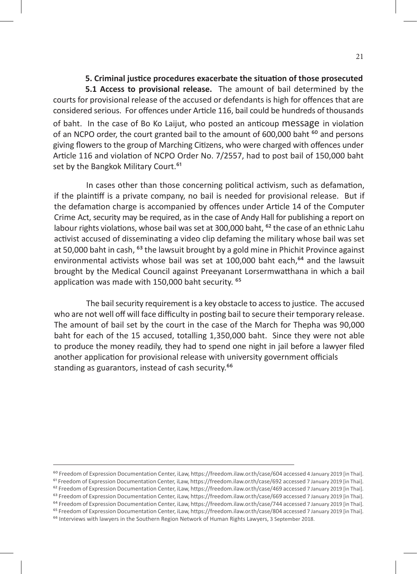#### **5. Criminal justice procedures exacerbate the situation of those prosecuted**

**5.1 Access to provisional release.** The amount of bail determined by the courts for provisional release of the accused or defendants is high for offences that are considered serious. For offences under Article 116, bail could be hundreds of thousands of baht. In the case of Bo Ko Laijut, who posted an anticoup message in violation of an NCPO order, the court granted bail to the amount of 600,000 baht  $^{60}$  and persons giving flowers to the group of Marching Citizens, who were charged with offences under Article 116 and violation of NCPO Order No. 7/2557, had to post bail of 150,000 baht set by the Bangkok Military Court.<sup>61</sup>

In cases other than those concerning political activism, such as defamation, if the plaintiff is a private company, no bail is needed for provisional release. But if the defamation charge is accompanied by offences under Article 14 of the Computer Crime Act, security may be required, as in the case of Andy Hall for publishing a report on labour rights violations, whose bail was set at 300,000 baht, <sup>62</sup> the case of an ethnic Lahu activist accused of disseminating a video clip defaming the military whose bail was set at 50,000 baht in cash, <sup>63</sup> the lawsuit brought by a gold mine in Phichit Province against environmental activists whose bail was set at 100,000 baht each,<sup>64</sup> and the lawsuit brought by the Medical Council against Preeyanant Lorsermwatthana in which a bail application was made with 150,000 baht security. <sup>65</sup>

The bail security requirement is a key obstacle to access to justice. The accused who are not well off will face difficulty in posting bail to secure their temporary release. The amount of bail set by the court in the case of the March for Thepha was 90,000 baht for each of the 15 accused, totalling 1,350,000 baht. Since they were not able to produce the money readily, they had to spend one night in jail before a lawyer filed another application for provisional release with university government officials standing as guarantors, instead of cash security.<sup>66</sup>

<sup>&</sup>lt;sup>60</sup> Freedom of Expression Documentation Center, iLaw, https://freedom.ilaw.or.th/case/604 accessed 4 January 2019 [in Thai].

<sup>&</sup>lt;sup>61</sup> Freedom of Expression Documentation Center, iLaw, https://freedom.ilaw.or.th/case/692 accessed 7 January 2019 [in Thai].

<sup>&</sup>lt;sup>62</sup> Freedom of Expression Documentation Center, iLaw, https://freedom.ilaw.or.th/case/469 accessed 7 January 2019 [in Thai].

<sup>&</sup>lt;sup>63</sup> Freedom of Expression Documentation Center, iLaw, https://freedom.ilaw.or.th/case/669 accessed 7 January 2019 [in Thai]. <sup>64</sup> Freedom of Expression Documentation Center, iLaw, https://freedom.ilaw.or.th/case/744 accessed 7 January 2019 [in Thai].

<sup>&</sup>lt;sup>65</sup> Freedom of Expression Documentation Center, iLaw, https://freedom.ilaw.or.th/case/804 accessed 7 January 2019 [in Thai].

<sup>&</sup>lt;sup>66</sup> Interviews with lawyers in the Southern Region Network of Human Rights Lawyers, 3 September 2018.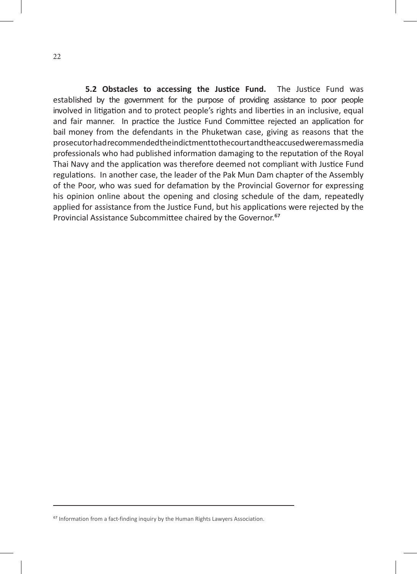**5.2 Obstacles to accessing the Justice Fund.** The Justice Fund was established by the government for the purpose of providing assistance to poor people involved in litigation and to protect people's rights and liberties in an inclusive, equal and fair manner. In practice the Justice Fund Committee rejected an application for bail money from the defendants in the Phuketwan case, giving as reasons that the prosecutor had recommended the indictment to the court and the accused were mass media professionals who had published information damaging to the reputation of the Royal Thai Navy and the application was therefore deemed not compliant with Justice Fund regulations. In another case, the leader of the Pak Mun Dam chapter of the Assembly of the Poor, who was sued for defamation by the Provincial Governor for expressing his opinion online about the opening and closing schedule of the dam, repeatedly applied for assistance from the Justice Fund, but his applications were rejected by the Provincial Assistance Subcommittee chaired by the Governor.<sup>67</sup>

⁶⁷ Information from a fact-finding inquiry by the Human Rights Lawyers Association.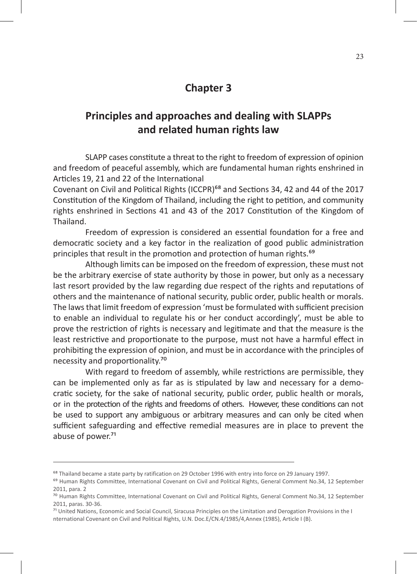# **Chapter 3**

# **Principles and approaches and dealing with SLAPPs and related human rights law**

SLAPP cases constitute a threat to the right to freedom of expression of opinion and freedom of peaceful assembly, which are fundamental human rights enshrined in Articles 19, 21 and 22 of the International

Covenant on Civil and Political Rights (ICCPR)<sup>68</sup> and Sections 34, 42 and 44 of the 2017 Constitution of the Kingdom of Thailand, including the right to petition, and community rights enshrined in Sections 41 and 43 of the 2017 Constitution of the Kingdom of Thailand.

Freedom of expression is considered an essential foundation for a free and democratic society and a key factor in the realization of good public administration principles that result in the promotion and protection of human rights.<sup>69</sup>

Although limits can be imposed on the freedom of expression, these must not be the arbitrary exercise of state authority by those in power, but only as a necessary last resort provided by the law regarding due respect of the rights and reputations of others and the maintenance of national security, public order, public health or morals. The laws that limit freedom of expression 'must be formulated with sufficient precision to enable an individual to regulate his or her conduct accordingly', must be able to prove the restriction of rights is necessary and legitimate and that the measure is the least restrictive and proportionate to the purpose, must not have a harmful effect in prohibiting the expression of opinion, and must be in accordance with the principles of necessity and proportionality.<sup>70</sup>

With regard to freedom of assembly, while restrictions are permissible, they can be implemented only as far as is stipulated by law and necessary for a democratic society, for the sake of national security, public order, public health or morals, or in the protection of the rights and freedoms of others. However, these conditions can not be used to support any ambiguous or arbitrary measures and can only be cited when sufficient safeguarding and effective remedial measures are in place to prevent the abuse of power.<sup>71</sup>

<sup>&</sup>lt;sup>68</sup> Thailand became a state party by ratification on 29 October 1996 with entry into force on 29 January 1997.

<sup>&</sup>lt;sup>69</sup> Human Rights Committee, International Covenant on Civil and Political Rights, General Comment No.34, 12 September 2011, para. 2

<sup>70</sup> Human Rights Committee, International Covenant on Civil and Political Rights, General Comment No.34, 12 September 2011, paras. 30-36.

<sup>&</sup>lt;sup>71</sup> United Nations, Economic and Social Council, Siracusa Principles on the Limitation and Derogation Provisions in the I nternational Covenant on Civil and Political Rights, U.N. Doc.E/CN.4/1985/4,Annex (1985), Article I (B).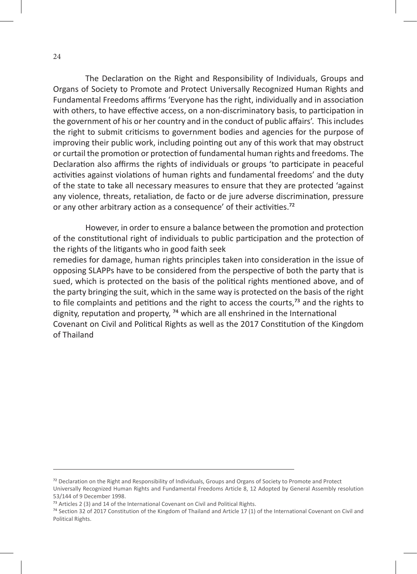The Declaration on the Right and Responsibility of Individuals, Groups and Organs of Society to Promote and Protect Universally Recognized Human Rights and Fundamental Freedoms affirms 'Everyone has the right, individually and in association with others, to have effective access, on a non-discriminatory basis, to participation in the government of his or her country and in the conduct of public affairs'. This includes the right to submit criticisms to government bodies and agencies for the purpose of improving their public work, including pointing out any of this work that may obstruct or curtail the promotion or protection of fundamental human rights and freedoms. The Declaration also affirms the rights of individuals or groups 'to participate in peaceful activities against violations of human rights and fundamental freedoms' and the duty of the state to take all necessary measures to ensure that they are protected 'against any violence, threats, retaliation, de facto or de jure adverse discrimination, pressure or any other arbitrary action as a consequence' of their activities.<sup>72</sup>

However, in order to ensure a balance between the promotion and protection of the constitutional right of individuals to public participation and the protection of the rights of the litigants who in good faith seek

remedies for damage, human rights principles taken into consideration in the issue of opposing SLAPPs have to be considered from the perspective of both the party that is sued, which is protected on the basis of the political rights mentioned above, and of the party bringing the suit, which in the same way is protected on the basis of the right to file complaints and petitions and the right to access the courts, $73$  and the rights to dignity, reputation and property,  $74$  which are all enshrined in the International Covenant on Civil and Political Rights as well as the 2017 Constitution of the Kingdom of Thailand

⁷² Declaration on the Right and Responsibility of Individuals, Groups and Organs of Society to Promote and Protect

Universally Recognized Human Rights and Fundamental Freedoms Article 8, 12 Adopted by General Assembly resolution 53/144 of 9 December 1998.

<sup>&</sup>lt;sup>73</sup> Articles 2 (3) and 14 of the International Covenant on Civil and Political Rights.

⁷⁴ Section 32 of 2017 Constitution of the Kingdom of Thailand and Article 17 (1) of the International Covenant on Civil and Political Rights.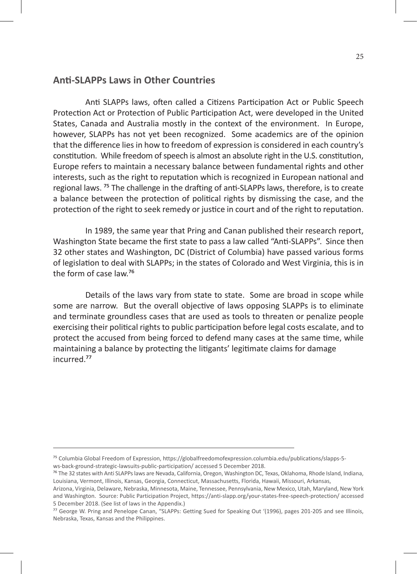### **Anti-SLAPPs Laws in Other Countries**

Anti SLAPPs laws, often called a Citizens Participation Act or Public Speech Protection Act or Protection of Public Participation Act, were developed in the United States, Canada and Australia mostly in the context of the environment. In Europe, however, SLAPPs has not yet been recognized. Some academics are of the opinion that the difference lies in how to freedom of expression is considered in each country's constitution. While freedom of speech is almost an absolute right in the U.S. constitution, Europe refers to maintain a necessary balance between fundamental rights and other interests, such as the right to reputation which is recognized in European national and regional laws.<sup>75</sup> The challenge in the drafting of anti-SLAPPs laws, therefore, is to create a balance between the protection of political rights by dismissing the case, and the protection of the right to seek remedy or justice in court and of the right to reputation.

In 1989, the same year that Pring and Canan published their research report, Washington State became the first state to pass a law called "Anti-SLAPPs". Since then 32 other states and Washington, DC (District of Columbia) have passed various forms of legislation to deal with SLAPPs; in the states of Colorado and West Virginia, this is in the form of case law.<sup>76</sup>

Details of the laws vary from state to state. Some are broad in scope while some are narrow. But the overall objective of laws opposing SLAPPs is to eliminate and terminate groundless cases that are used as tools to threaten or penalize people exercising their political rights to public participation before legal costs escalate, and to protect the accused from being forced to defend many cases at the same time, while maintaining a balance by protecting the litigants' legitimate claims for damage incurred.<sup>77</sup>

⁷⁵ Columbia Global Freedom of Expression, https://globalfreedomofexpression.columbia.edu/publications/slapps-5 ws-back-ground-strategic-lawsuits-public-participation/ accessed 5 December 2018.

<sup>&</sup>lt;sup>76</sup> The 32 states with Anti SLAPPs laws are Nevada, California, Oregon, Washington DC, Texas, Oklahoma, Rhode Island, Indiana, Louisiana, Vermont, Illinois, Kansas, Georgia, Connecticut, Massachusetts, Florida, Hawaii, Missouri, Arkansas,

Arizona, Virginia, Delaware, Nebraska, Minnesota, Maine, Tennessee, Pennsylvania, New Mexico, Utah, Maryland, New York and Washington. Source: Public Participation Project, https://anti-slapp.org/your-states-free-speech-protection/ accessed 5 December 2018. (See list of laws in the Appendix.)

⁷⁷ George W. Pring and Penelope Canan, "SLAPPs: Getting Sued for Speaking Out '(1996), pages 201-205 and see Illinois, Nebraska, Texas, Kansas and the Philippines.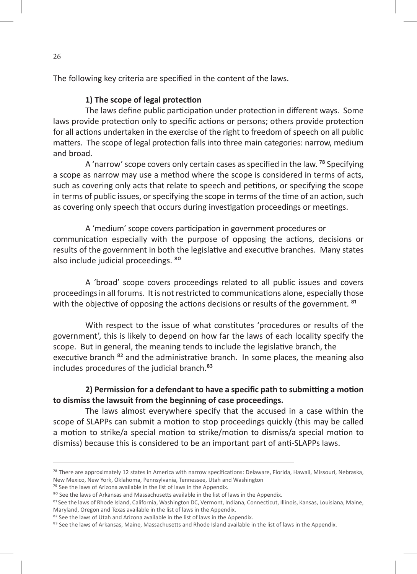The following key criteria are specified in the content of the laws.

#### **1) The scope of legal protection**

The laws define public participation under protection in different ways. Some laws provide protection only to specific actions or persons; others provide protection for all actions undertaken in the exercise of the right to freedom of speech on all public matters. The scope of legal protection falls into three main categories: narrow, medium and broad.

A 'narrow' scope covers only certain cases as specified in the law. <sup>78</sup> Specifying a scope as narrow may use a method where the scope is considered in terms of acts, such as covering only acts that relate to speech and petitions, or specifying the scope in terms of public issues, or specifying the scope in terms of the time of an action, such as covering only speech that occurs during investigation proceedings or meetings.

A 'medium' scope covers participation in government procedures or communication especially with the purpose of opposing the actions, decisions or results of the government in both the legislative and executive branches. Many states also include judicial proceedings. 80

A 'broad' scope covers proceedings related to all public issues and covers proceedings in all forums. It is not restricted to communications alone, especially those with the objective of opposing the actions decisions or results of the government. <sup>81</sup>

With respect to the issue of what constitutes 'procedures or results of the government', this is likely to depend on how far the laws of each locality specify the scope. But in general, the meaning tends to include the legislative branch, the executive branch <sup>82</sup> and the administrative branch. In some places, the meaning also includes procedures of the judicial branch.<sup>83</sup>

### **2) Permission for a defendant to have a specific path to submitting a motion to dismiss the lawsuit from the beginning of case proceedings.**

The laws almost everywhere specify that the accused in a case within the scope of SLAPPs can submit a motion to stop proceedings quickly (this may be called a motion to strike/a special motion to strike/motion to dismiss/a special motion to dismiss) because this is considered to be an important part of anti-SLAPPs laws.

<sup>&</sup>lt;sup>78</sup> There are approximately 12 states in America with narrow specifications: Delaware, Florida, Hawaii, Missouri, Nebraska, New Mexico, New York, Oklahoma, Pennsylvania, Tennessee, Utah and Washington

<sup>&</sup>lt;sup>79</sup> See the laws of Arizona available in the list of laws in the Appendix.

<sup>&</sup>lt;sup>80</sup> See the laws of Arkansas and Massachusetts available in the list of laws in the Appendix.

<sup>&</sup>lt;sup>81</sup> See the laws of Rhode Island, California, Washington DC, Vermont, Indiana, Connecticut, Illinois, Kansas, Louisiana, Maine, Maryland, Oregon and Texas available in the list of laws in the Appendix.

<sup>&</sup>lt;sup>82</sup> See the laws of Utah and Arizona available in the list of laws in the Appendix.

<sup>&</sup>lt;sup>83</sup> See the laws of Arkansas, Maine, Massachusetts and Rhode Island available in the list of laws in the Appendix.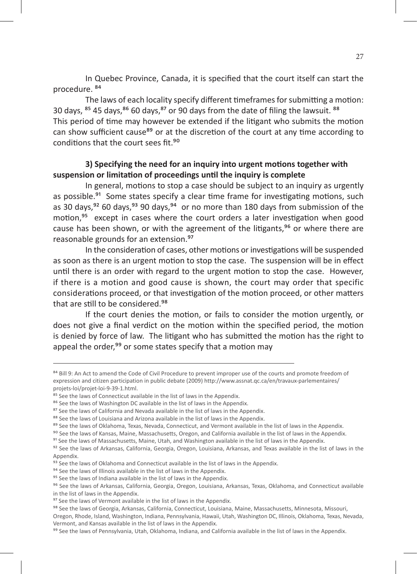In Quebec Province, Canada, it is specified that the court itself can start the procedure.<sup>84</sup>

The laws of each locality specify different timeframes for submitting a motion: 30 days,  $85$  45 days,  $86$  60 days,  $87$  or 90 days from the date of filing the lawsuit.  $88$ This period of time may however be extended if the litigant who submits the motion can show sufficient cause<sup>89</sup> or at the discretion of the court at any time according to conditions that the court sees fit.<sup>90</sup>

### **3) Specifying the need for an inquiry into urgent motions together with suspension or limitation of proceedings until the inquiry is complete**

In general, motions to stop a case should be subject to an inquiry as urgently as possible.<sup>91</sup> Some states specify a clear time frame for investigating motions, such as 30 days, $92$  60 days,  $93$  90 days,  $94$  or no more than 180 days from submission of the motion, $95$  except in cases where the court orders a later investigation when good cause has been shown, or with the agreement of the litigants, $\frac{1}{2}$  or where there are reasonable grounds for an extension.<sup>97</sup>

In the consideration of cases, other motions or investigations will be suspended as soon as there is an urgent motion to stop the case. The suspension will be in effect until there is an order with regard to the urgent motion to stop the case. However, if there is a motion and good cause is shown, the court may order that specific considerations proceed, or that investigation of the motion proceed, or other matters that are still to be considered.<sup>98</sup>

If the court denies the motion, or fails to consider the motion urgently, or does not give a final verdict on the motion within the specified period, the motion is denied by force of law. The litigant who has submitted the motion has the right to appeal the order,<sup>99</sup> or some states specify that a motion may

<sup>&</sup>lt;sup>84</sup> Bill 9: An Act to amend the Code of Civil Procedure to prevent improper use of the courts and promote freedom of expression and citizen participation in public debate (2009) http://www.assnat.qc.ca/en/travaux-parlementaires/ projets-loi/projet-loi-9-39-1.html.

<sup>&</sup>lt;sup>85</sup> See the laws of Connecticut available in the list of laws in the Appendix.

<sup>&</sup>lt;sup>86</sup> See the laws of Washington DC available in the list of laws in the Appendix.

<sup>&</sup>lt;sup>87</sup> See the laws of California and Nevada available in the list of laws in the Appendix.

<sup>&</sup>lt;sup>88</sup> See the laws of Louisiana and Arizona available in the list of laws in the Appendix.

<sup>&</sup>lt;sup>89</sup> See the laws of Oklahoma, Texas, Nevada, Connecticut, and Vermont available in the list of laws in the Appendix.

<sup>&</sup>lt;sup>90</sup> See the laws of Kansas, Maine, Massachusetts, Oregon, and California available in the list of laws in the Appendix.

<sup>&</sup>lt;sup>91</sup> See the laws of Massachusetts, Maine, Utah, and Washington available in the list of laws in the Appendix.

<sup>&</sup>lt;sup>92</sup> See the laws of Arkansas, California, Georgia, Oregon, Louisiana, Arkansas, and Texas available in the list of laws in the Appendix.

<sup>&</sup>lt;sup>93</sup> See the laws of Oklahoma and Connecticut available in the list of laws in the Appendix.

<sup>&</sup>lt;sup>94</sup> See the laws of Illinois available in the list of laws in the Appendix.

<sup>&</sup>lt;sup>95</sup> See the laws of Indiana available in the list of laws in the Appendix.

<sup>96</sup> See the laws of Arkansas, California, Georgia, Oregon, Louisiana, Arkansas, Texas, Oklahoma, and Connecticut available in the list of laws in the Appendix.

<sup>&</sup>lt;sup>97</sup> See the laws of Vermont available in the list of laws in the Appendix.

<sup>98</sup> See the laws of Georgia, Arkansas, California, Connecticut, Louisiana, Maine, Massachusetts, Minnesota, Missouri,

Oregon, Rhode, Island, Washington, Indiana, Pennsylvania, Hawaii, Utah, Washington DC, Illinois, Oklahoma, Texas, Nevada, Vermont, and Kansas available in the list of laws in the Appendix.

<sup>&</sup>lt;sup>99</sup> See the laws of Pennsylvania, Utah, Oklahoma, Indiana, and California available in the list of laws in the Appendix.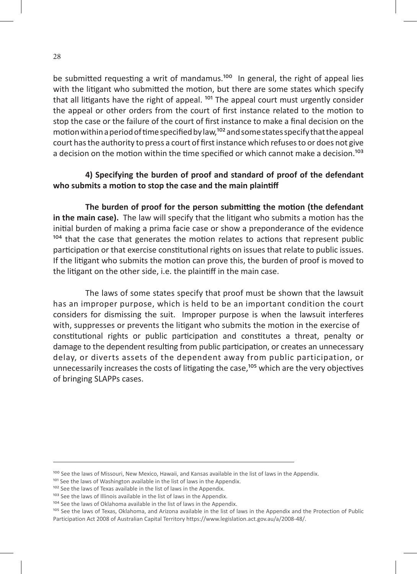be submitted requesting a writ of mandamus.<sup>100</sup> In general, the right of appeal lies with the litigant who submitted the motion, but there are some states which specify that all litigants have the right of appeal.  $^{101}$  The appeal court must urgently consider the appeal or other orders from the court of first instance related to the motion to stop the case or the failure of the court of first instance to make a final decision on the motion within a period of time specified by law,<sup>102</sup> and some states specify that the appeal court has the authority to press a court of first instance which refuses to or does not give a decision on the motion within the time specified or which cannot make a decision.<sup>103</sup>

### **4) Specifying the burden of proof and standard of proof of the defendant who submits a motion to stop the case and the main plaintiff**

**The burden of proof for the person submitting the motion (the defendant in the main case).** The law will specify that the litigant who submits a motion has the initial burden of making a prima facie case or show a preponderance of the evidence  $104$  that the case that generates the motion relates to actions that represent public participation or that exercise constitutional rights on issues that relate to public issues. If the litigant who submits the motion can prove this, the burden of proof is moved to the litigant on the other side, i.e. the plaintiff in the main case.

The laws of some states specify that proof must be shown that the lawsuit has an improper purpose, which is held to be an important condition the court considers for dismissing the suit. Improper purpose is when the lawsuit interferes with, suppresses or prevents the litigant who submits the motion in the exercise of constitutional rights or public participation and constitutes a threat, penalty or damage to the dependent resulting from public participation, or creates an unnecessary delay, or diverts assets of the dependent away from public participation, or unnecessarily increases the costs of litigating the case,<sup>105</sup> which are the very objectives of bringing SLAPPs cases.

<sup>100</sup> See the laws of Missouri, New Mexico, Hawaii, and Kansas available in the list of laws in the Appendix.

<sup>101</sup> See the laws of Washington available in the list of laws in the Appendix.

<sup>&</sup>lt;sup>102</sup> See the laws of Texas available in the list of laws in the Appendix.

<sup>103</sup> See the laws of Illinois available in the list of laws in the Appendix.

<sup>104</sup> See the laws of Oklahoma available in the list of laws in the Appendix.

<sup>105</sup> See the laws of Texas, Oklahoma, and Arizona available in the list of laws in the Appendix and the Protection of Public Participation Act 2008 of Australian Capital Territory https://www.legislation.act.gov.au/a/2008-48/.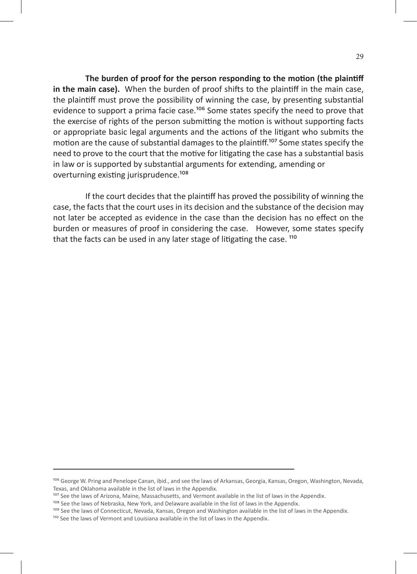**The burden of proof for the person responding to the motion (the plaintiff in the main case).** When the burden of proof shifts to the plaintiff in the main case, the plaintiff must prove the possibility of winning the case, by presenting substantial evidence to support a prima facie case.<sup>106</sup> Some states specify the need to prove that the exercise of rights of the person submitting the motion is without supporting facts or appropriate basic legal arguments and the actions of the litigant who submits the motion are the cause of substantial damages to the plaintiff.<sup>107</sup> Some states specify the need to prove to the court that the motive for litigating the case has a substantial basis in law or is supported by substantial arguments for extending, amending or overturning existing jurisprudence.<sup>108</sup>

If the court decides that the plaintiff has proved the possibility of winning the case, the facts that the court uses in its decision and the substance of the decision may not later be accepted as evidence in the case than the decision has no effect on the burden or measures of proof in considering the case. However, some states specify that the facts can be used in any later stage of litigating the case. <sup>110</sup>

<sup>&</sup>lt;sup>106</sup> George W. Pring and Penelope Canan, ibid., and see the laws of Arkansas, Georgia, Kansas, Oregon, Washington, Nevada, Texas, and Oklahoma available in the list of laws in the Appendix.

<sup>107</sup> See the laws of Arizona, Maine, Massachusetts, and Vermont available in the list of laws in the Appendix.

<sup>&</sup>lt;sup>108</sup> See the laws of Nebraska, New York, and Delaware available in the list of laws in the Appendix.

<sup>109</sup> See the laws of Connecticut, Nevada, Kansas, Oregon and Washington available in the list of laws in the Appendix.

<sup>&</sup>lt;sup>110</sup> See the laws of Vermont and Louisiana available in the list of laws in the Appendix.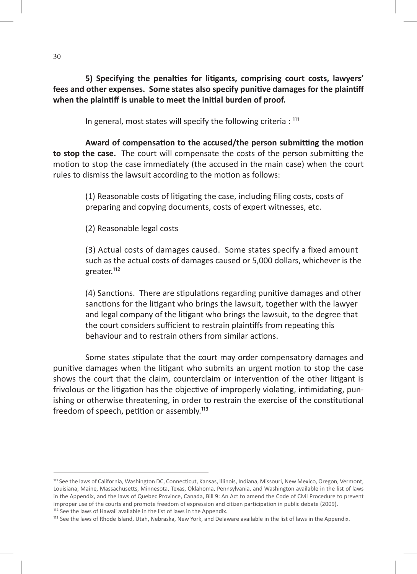**5) Specifying the penalties for litigants, comprising court costs, lawyers' fees and other expenses. Some states also specify punitive damages for the plaintiff when the plaintiff is unable to meet the initial burden of proof.**

In general, most states will specify the following criteria :  $111$ 

**Award of compensation to the accused/the person submitting the motion to stop the case.** The court will compensate the costs of the person submitting the motion to stop the case immediately (the accused in the main case) when the court rules to dismiss the lawsuit according to the motion as follows:

> (1) Reasonable costs of litigating the case, including filing costs, costs of preparing and copying documents, costs of expert witnesses, etc.

(2) Reasonable legal costs

(3) Actual costs of damages caused. Some states specify a fixed amount such as the actual costs of damages caused or 5,000 dollars, whichever is the greater.<sup>112</sup>

(4) Sanctions. There are stipulations regarding punitive damages and other sanctions for the litigant who brings the lawsuit, together with the lawyer and legal company of the litigant who brings the lawsuit, to the degree that the court considers sufficient to restrain plaintiffs from repeating this behaviour and to restrain others from similar actions.

Some states stipulate that the court may order compensatory damages and punitive damages when the litigant who submits an urgent motion to stop the case shows the court that the claim, counterclaim or intervention of the other litigant is frivolous or the litigation has the objective of improperly violating, intimidating, punishing or otherwise threatening, in order to restrain the exercise of the constitutional freedom of speech, petition or assembly.<sup>113</sup>

<sup>&</sup>lt;sup>111</sup> See the laws of California, Washington DC, Connecticut, Kansas, Illinois, Indiana, Missouri, New Mexico, Oregon, Vermont, Louisiana, Maine, Massachusetts, Minnesota, Texas, Oklahoma, Pennsylvania, and Washington available in the list of laws in the Appendix, and the laws of Quebec Province, Canada, Bill 9: An Act to amend the Code of Civil Procedure to prevent improper use of the courts and promote freedom of expression and citizen participation in public debate (2009). <sup>112</sup> See the laws of Hawaii available in the list of laws in the Appendix.

<sup>113</sup> See the laws of Rhode Island, Utah, Nebraska, New York, and Delaware available in the list of laws in the Appendix.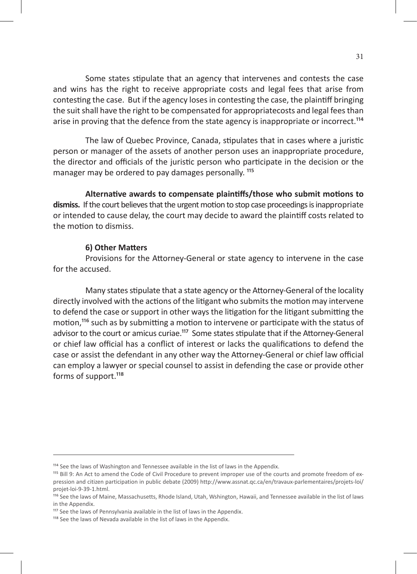Some states stipulate that an agency that intervenes and contests the case and wins has the right to receive appropriate costs and legal fees that arise from contesting the case. But if the agency loses in contesting the case, the plaintiff bringing the suit shall have the right to be compensated for appropriatecosts and legal fees than arise in proving that the defence from the state agency is inappropriate or incorrect.<sup>114</sup>

 The law of Quebec Province, Canada, stipulates that in cases where a juristic person or manager of the assets of another person uses an inappropriate procedure, the director and officials of the juristic person who participate in the decision or the manager may be ordered to pay damages personally.<sup>115</sup>

**Alternative awards to compensate plaintiffs/those who submit motions to dismiss.** If the court believes that the urgent motion to stop case proceedings is inappropriate or intended to cause delay, the court may decide to award the plaintiff costs related to the motion to dismiss.

#### **6) Other Matters**

Provisions for the Attorney-General or state agency to intervene in the case for the accused.

Many states stipulate that a state agency or the Attorney-General of the locality directly involved with the actions of the litigant who submits the motion may intervene to defend the case or support in other ways the litigation for the litigant submitting the motion,<sup>116</sup> such as by submitting a motion to intervene or participate with the status of advisor to the court or amicus curiae.<sup>117</sup> Some states stipulate that if the Attorney-General or chief law official has a conflict of interest or lacks the qualifications to defend the case or assist the defendant in any other way the Attorney-General or chief law official can employ a lawyer or special counsel to assist in defending the case or provide other forms of support.<sup>118</sup>

<sup>&</sup>lt;sup>114</sup> See the laws of Washington and Tennessee available in the list of laws in the Appendix.

<sup>115</sup> Bill 9: An Act to amend the Code of Civil Procedure to prevent improper use of the courts and promote freedom of expression and citizen participation in public debate (2009) http://www.assnat.qc.ca/en/travaux-parlementaires/projets-loi/ projet-loi-9-39-1.html.

<sup>116</sup> See the laws of Maine, Massachusetts, Rhode Island, Utah, Wshington, Hawaii, and Tennessee available in the list of laws in the Appendix.

<sup>&</sup>lt;sup>117</sup> See the laws of Pennsylvania available in the list of laws in the Appendix.

<sup>&</sup>lt;sup>118</sup> See the laws of Nevada available in the list of laws in the Appendix.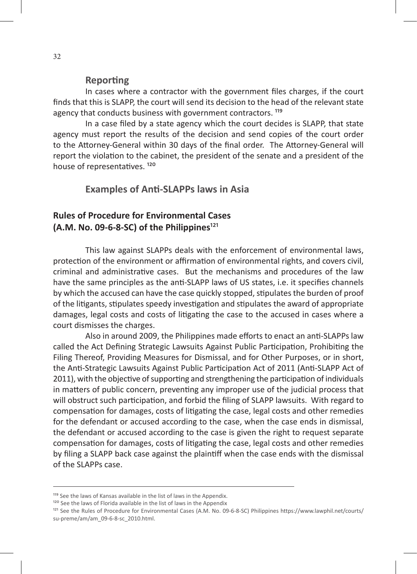#### **Reporting**

In cases where a contractor with the government files charges, if the court finds that this is SLAPP, the court will send its decision to the head of the relevant state agency that conducts business with government contractors.<sup>119</sup>

In a case filed by a state agency which the court decides is SLAPP, that state agency must report the results of the decision and send copies of the court order to the Attorney-General within 30 days of the final order. The Attorney-General will report the violation to the cabinet, the president of the senate and a president of the house of representatives.<sup>120</sup>

### **Examples of Anti-SLAPPs laws in Asia**

### **Rules of Procedure for Environmental Cases**  $(A.M. No. 09-6-8-SC)$  of the Philippines<sup>121</sup>

This law against SLAPPs deals with the enforcement of environmental laws, protection of the environment or affirmation of environmental rights, and covers civil, criminal and administrative cases. But the mechanisms and procedures of the law have the same principles as the anti-SLAPP laws of US states, i.e. it specifies channels by which the accused can have the case quickly stopped, stipulates the burden of proof of the litigants, stipulates speedy investigation and stipulates the award of appropriate damages, legal costs and costs of litigating the case to the accused in cases where a court dismisses the charges.

Also in around 2009, the Philippines made efforts to enact an anti-SLAPPs law called the Act Defining Strategic Lawsuits Against Public Participation, Prohibiting the Filing Thereof, Providing Measures for Dismissal, and for Other Purposes, or in short, the Anti-Strategic Lawsuits Against Public Participation Act of 2011 (Anti-SLAPP Act of 2011), with the objective of supporting and strengthening the participation of individuals in matters of public concern, preventing any improper use of the judicial process that will obstruct such participation, and forbid the filing of SLAPP lawsuits. With regard to compensation for damages, costs of litigating the case, legal costs and other remedies for the defendant or accused according to the case, when the case ends in dismissal, the defendant or accused according to the case is given the right to request separate compensation for damages, costs of litigating the case, legal costs and other remedies by filing a SLAPP back case against the plaintiff when the case ends with the dismissal of the SLAPPs case.

<sup>&</sup>lt;sup>119</sup> See the laws of Kansas available in the list of laws in the Appendix.

<sup>&</sup>lt;sup>120</sup> See the laws of Florida available in the list of laws in the Appendix

<sup>&</sup>lt;sup>121</sup> See the Rules of Procedure for Environmental Cases (A.M. No. 09-6-8-SC) Philippines https://www.lawphil.net/courts/ su-preme/am/am\_09-6-8-sc\_2010.html.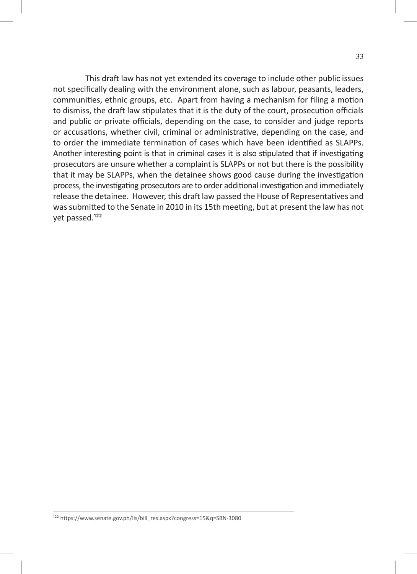This draft law has not yet extended its coverage to include other public issues not specifically dealing with the environment alone, such as labour, peasants, leaders, communities, ethnic groups, etc. Apart from having a mechanism for filing a motion to dismiss, the draft law stipulates that it is the duty of the court, prosecution officials and public or private officials, depending on the case, to consider and judge reports or accusations, whether civil, criminal or administrative, depending on the case, and to order the immediate termination of cases which have been identified as SLAPPs. Another interesting point is that in criminal cases it is also stipulated that if investigating prosecutors are unsure whether a complaint is SLAPPs or not but there is the possibility that it may be SLAPPs, when the detainee shows good cause during the investigation process, the investigating prosecutors are to order additional investigation and immediately release the detainee. However, this draft law passed the House of Representatives and was submitted to the Senate in 2010 in its 15th meeting, but at present the law has not yet passed.<sup>122</sup>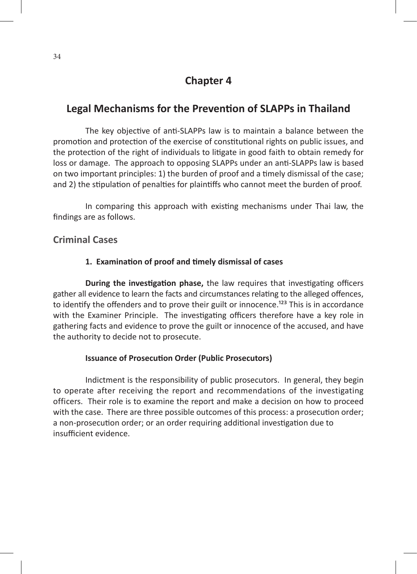# **Chapter 4**

# **Legal Mechanisms for the Prevention of SLAPPs in Thailand**

The key objective of anti-SLAPPs law is to maintain a balance between the promotion and protection of the exercise of constitutional rights on public issues, and the protection of the right of individuals to litigate in good faith to obtain remedy for loss or damage. The approach to opposing SLAPPs under an anti-SLAPPs law is based on two important principles: 1) the burden of proof and a timely dismissal of the case; and 2) the stipulation of penalties for plaintiffs who cannot meet the burden of proof.

In comparing this approach with existing mechanisms under Thai law, the findings are as follows.

### **Criminal Cases**

### **1. Examination of proof and timely dismissal of cases**

**During the investigation phase,** the law requires that investigating officers gather all evidence to learn the facts and circumstances relating to the alleged offences, to identify the offenders and to prove their guilt or innocence.<sup>123</sup> This is in accordance with the Examiner Principle. The investigating officers therefore have a key role in gathering facts and evidence to prove the guilt or innocence of the accused, and have the authority to decide not to prosecute.

#### **Issuance of Prosecution Order (Public Prosecutors)**

Indictment is the responsibility of public prosecutors. In general, they begin to operate after receiving the report and recommendations of the investigating officers. Their role is to examine the report and make a decision on how to proceed with the case. There are three possible outcomes of this process: a prosecution order; a non-prosecution order; or an order requiring additional investigation due to insufficient evidence.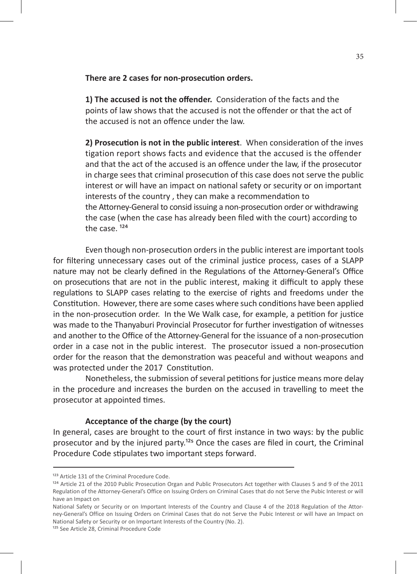#### **There are 2 cases for non-prosecution orders.**

**1) The accused is not the offender.** Consideration of the facts and the points of law shows that the accused is not the offender or that the act of the accused is not an offence under the law.

**2) Prosecution is not in the public interest**. When consideration of the inves tigation report shows facts and evidence that the accused is the offender and that the act of the accused is an offence under the law, if the prosecutor in charge sees that criminal prosecution of this case does not serve the public interest or will have an impact on national safety or security or on important interests of the country , they can make a recommendation to the Attorney-General to consid issuing a non-prosecution order or withdrawing the case (when the case has already been filed with the court) according to the case  $124$ 

Even though non-prosecution orders in the public interest are important tools for filtering unnecessary cases out of the criminal justice process, cases of a SLAPP nature may not be clearly defined in the Regulations of the Attorney-General's Office on prosecutions that are not in the public interest, making it difficult to apply these regulations to SLAPP cases relating to the exercise of rights and freedoms under the Constitution. However, there are some cases where such conditions have been applied in the non-prosecution order. In the We Walk case, for example, a petition for justice was made to the Thanyaburi Provincial Prosecutor for further investigation of witnesses and another to the Office of the Attorney-General for the issuance of a non-prosecution order in a case not in the public interest. The prosecutor issued a non-prosecution order for the reason that the demonstration was peaceful and without weapons and was protected under the 2017 Constitution.

Nonetheless, the submission of several petitions for justice means more delay in the procedure and increases the burden on the accused in travelling to meet the prosecutor at appointed times.

#### **Acceptance of the charge (by the court)**

In general, cases are brought to the court of first instance in two ways: by the public prosecutor and by the injured party.<sup>125</sup> Once the cases are filed in court, the Criminal Procedure Code stipulates two important steps forward.

<sup>&</sup>lt;sup>123</sup> Article 131 of the Criminal Procedure Code.

<sup>&</sup>lt;sup>124</sup> Article 21 of the 2010 Public Prosecution Organ and Public Prosecutors Act together with Clauses 5 and 9 of the 2011 Regulation of the Attorney-General's Office on Issuing Orders on Criminal Cases that do not Serve the Pubic Interest or will have an Impact on

National Safety or Security or on Important Interests of the Country and Clause 4 of the 2018 Regulation of the Attorney-General's Office on Issuing Orders on Criminal Cases that do not Serve the Pubic Interest or will have an Impact on National Safety or Security or on Important Interests of the Country (No. 2).

<sup>&</sup>lt;sup>125</sup> See Article 28, Criminal Procedure Code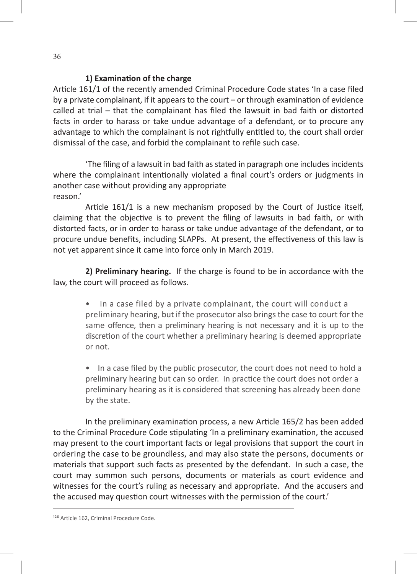#### **1) Examination of the charge**

Article 161/1 of the recently amended Criminal Procedure Code states 'In a case filed by a private complainant, if it appears to the court – or through examination of evidence called at trial – that the complainant has filed the lawsuit in bad faith or distorted facts in order to harass or take undue advantage of a defendant, or to procure any advantage to which the complainant is not rightfully entitled to, the court shall order dismissal of the case, and forbid the complainant to refile such case.

'The filing of a lawsuit in bad faith as stated in paragraph one includes incidents where the complainant intentionally violated a final court's orders or judgments in another case without providing any appropriate reason.'

Article 161/1 is a new mechanism proposed by the Court of Justice itself, claiming that the objective is to prevent the filing of lawsuits in bad faith, or with distorted facts, or in order to harass or take undue advantage of the defendant, or to procure undue benefits, including SLAPPs. At present, the effectiveness of this law is not yet apparent since it came into force only in March 2019.

**2) Preliminary hearing.** If the charge is found to be in accordance with the law, the court will proceed as follows.

> • In a case filed by a private complainant, the court will conduct a preliminary hearing, but if the prosecutor also brings the case to court for the same offence, then a preliminary hearing is not necessary and it is up to the discretion of the court whether a preliminary hearing is deemed appropriate or not.

> • In a case filed by the public prosecutor, the court does not need to hold a preliminary hearing but can so order. In practice the court does not order a preliminary hearing as it is considered that screening has already been done by the state.

In the preliminary examination process, a new Article 165/2 has been added to the Criminal Procedure Code stipulating 'In a preliminary examination, the accused may present to the court important facts or legal provisions that support the court in ordering the case to be groundless, and may also state the persons, documents or materials that support such facts as presented by the defendant. In such a case, the court may summon such persons, documents or materials as court evidence and witnesses for the court's ruling as necessary and appropriate. And the accusers and the accused may question court witnesses with the permission of the court.'

<sup>126</sup> Article 162, Criminal Procedure Code.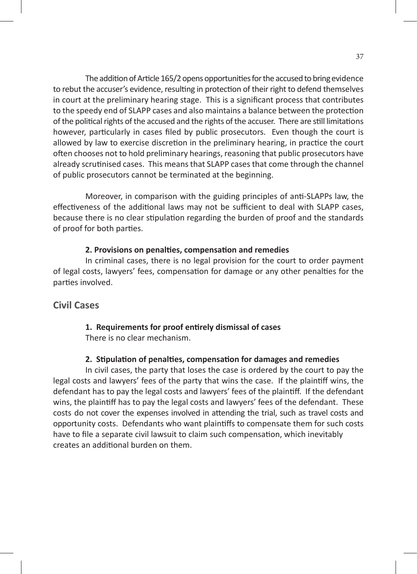The addition of Article 165/2 opens opportunities for the accused to bring evidence to rebut the accuser's evidence, resulting in protection of their right to defend themselves in court at the preliminary hearing stage. This is a significant process that contributes to the speedy end of SLAPP cases and also maintains a balance between the protection of the political rights of the accused and the rights of the accuser. There are still limitations however, particularly in cases filed by public prosecutors. Even though the court is allowed by law to exercise discretion in the preliminary hearing, in practice the court often chooses not to hold preliminary hearings, reasoning that public prosecutors have already scrutinised cases. This means that SLAPP cases that come through the channel of public prosecutors cannot be terminated at the beginning.

Moreover, in comparison with the guiding principles of anti-SLAPPs law, the effectiveness of the additional laws may not be sufficient to deal with SLAPP cases, because there is no clear stipulation regarding the burden of proof and the standards of proof for both parties.

#### **2. Provisions on penalties, compensation and remedies**

In criminal cases, there is no legal provision for the court to order payment of legal costs, lawyers' fees, compensation for damage or any other penalties for the parties involved.

### **Civil Cases**

# **1. Requirements for proof entirely dismissal of cases**

There is no clear mechanism.

#### **2. Stipulation of penalties, compensation for damages and remedies**

In civil cases, the party that loses the case is ordered by the court to pay the legal costs and lawyers' fees of the party that wins the case. If the plaintiff wins, the defendant has to pay the legal costs and lawyers' fees of the plaintiff. If the defendant wins, the plaintiff has to pay the legal costs and lawyers' fees of the defendant. These costs do not cover the expenses involved in attending the trial, such as travel costs and opportunity costs. Defendants who want plaintiffs to compensate them for such costs have to file a separate civil lawsuit to claim such compensation, which inevitably creates an additional burden on them.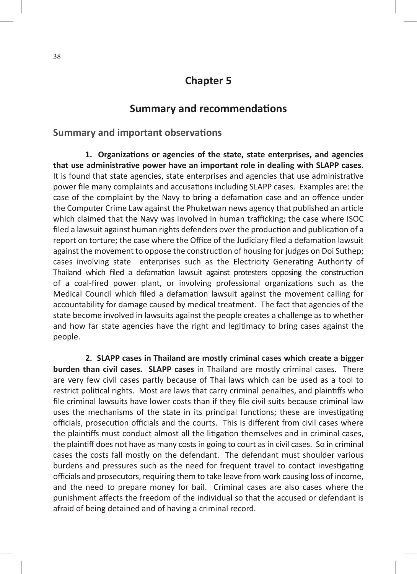# **Chapter 5**

# **Summary and recommendations**

### **Summary and important observations**

**1. Organizations or agencies of the state, state enterprises, and agencies that use administrative power have an important role in dealing with SLAPP cases.** It is found that state agencies, state enterprises and agencies that use administrative power file many complaints and accusations including SLAPP cases. Examples are: the case of the complaint by the Navy to bring a defamation case and an offence under the Computer Crime Law against the Phuketwan news agency that published an article which claimed that the Navy was involved in human trafficking; the case where ISOC filed a lawsuit against human rights defenders over the production and publication of a report on torture; the case where the Office of the Judiciary filed a defamation lawsuit against the movement to oppose the construction of housing for judges on Doi Suthep; cases involving state enterprises such as the Electricity Generating Authority of Thailand which filed a defamation lawsuit against protesters opposing the construction of a coal-fired power plant, or involving professional organizations such as the Medical Council which filed a defamation lawsuit against the movement calling for accountability for damage caused by medical treatment. The fact that agencies of the state become involved in lawsuits against the people creates a challenge as to whether and how far state agencies have the right and legitimacy to bring cases against the people.

**2. SLAPP cases in Thailand are mostly criminal cases which create a bigger burden than civil cases. SLAPP cases** in Thailand are mostly criminal cases. There are very few civil cases partly because of Thai laws which can be used as a tool to restrict political rights. Most are laws that carry criminal penalties, and plaintiffs who file criminal lawsuits have lower costs than if they file civil suits because criminal law uses the mechanisms of the state in its principal functions; these are investigating officials, prosecution officials and the courts. This is different from civil cases where the plaintiffs must conduct almost all the litigation themselves and in criminal cases, the plaintiff does not have as many costs in going to court as in civil cases. So in criminal cases the costs fall mostly on the defendant. The defendant must shoulder various burdens and pressures such as the need for frequent travel to contact investigating officials and prosecutors, requiring them to take leave from work causing loss of income, and the need to prepare money for bail. Criminal cases are also cases where the punishment affects the freedom of the individual so that the accused or defendant is afraid of being detained and of having a criminal record.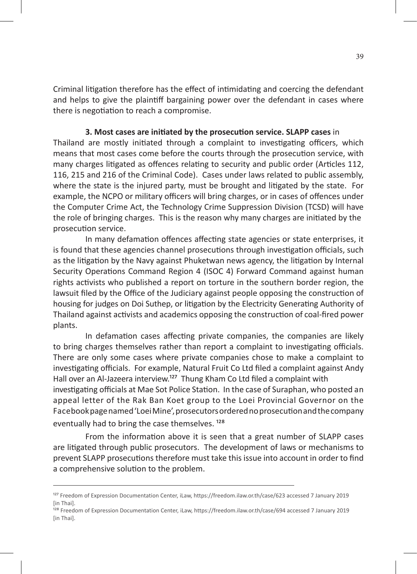Criminal litigation therefore has the effect of intimidating and coercing the defendant and helps to give the plaintiff bargaining power over the defendant in cases where there is negotiation to reach a compromise.

#### **3. Most cases are initiated by the prosecution service. SLAPP cases** in

Thailand are mostly initiated through a complaint to investigating officers, which means that most cases come before the courts through the prosecution service, with many charges litigated as offences relating to security and public order (Articles 112, 116, 215 and 216 of the Criminal Code). Cases under laws related to public assembly, where the state is the injured party, must be brought and litigated by the state. For example, the NCPO or military officers will bring charges, or in cases of offences under the Computer Crime Act, the Technology Crime Suppression Division (TCSD) will have the role of bringing charges. This is the reason why many charges are initiated by the prosecution service.

In many defamation offences affecting state agencies or state enterprises, it is found that these agencies channel prosecutions through investigation officials, such as the litigation by the Navy against Phuketwan news agency, the litigation by Internal Security Operations Command Region 4 (ISOC 4) Forward Command against human rights activists who published a report on torture in the southern border region, the lawsuit filed by the Office of the Judiciary against people opposing the construction of housing for judges on Doi Suthep, or litigation by the Electricity Generating Authority of Thailand against activists and academics opposing the construction of coal-fired power plants.

In defamation cases affecting private companies, the companies are likely to bring charges themselves rather than report a complaint to investigating officials. There are only some cases where private companies chose to make a complaint to investigating officials. For example, Natural Fruit Co Ltd filed a complaint against Andy Hall over an Al-Jazeera interview.<sup>127</sup> Thung Kham Co Ltd filed a complaint with investigating officials at Mae Sot Police Station. In the case of Suraphan, who posted an appeal letter of the Rak Ban Koet group to the Loei Provincial Governor on the Facebook page named 'Loei Mine', prosecutors ordered no prosecution and the company eventually had to bring the case themselves.<sup>128</sup>

From the information above it is seen that a great number of SLAPP cases are litigated through public prosecutors. The development of laws or mechanisms to prevent SLAPP prosecutions therefore must take this issue into account in order to find a comprehensive solution to the problem.

<sup>128</sup> Freedom of Expression Documentation Center, iLaw, https://freedom.ilaw.or.th/case/694 accessed 7 January 2019 [in Thai].

<sup>&</sup>lt;sup>127</sup> Freedom of Expression Documentation Center, iLaw, https://freedom.ilaw.or.th/case/623 accessed 7 January 2019 [in Thai].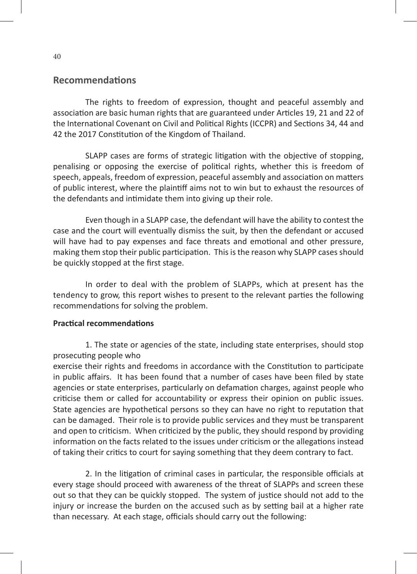### **Recommendations**

The rights to freedom of expression, thought and peaceful assembly and association are basic human rights that are guaranteed under Articles 19, 21 and 22 of the International Covenant on Civil and Political Rights (ICCPR) and Sections 34, 44 and 42 the 2017 Constitution of the Kingdom of Thailand.

SLAPP cases are forms of strategic litigation with the objective of stopping, penalising or opposing the exercise of political rights, whether this is freedom of speech, appeals, freedom of expression, peaceful assembly and association on matters of public interest, where the plaintiff aims not to win but to exhaust the resources of the defendants and intimidate them into giving up their role.

Even though in a SLAPP case, the defendant will have the ability to contest the case and the court will eventually dismiss the suit, by then the defendant or accused will have had to pay expenses and face threats and emotional and other pressure, making them stop their public participation. This is the reason why SLAPP cases should be quickly stopped at the first stage.

In order to deal with the problem of SLAPPs, which at present has the tendency to grow, this report wishes to present to the relevant parties the following recommendations for solving the problem.

#### **Practical recommendations**

1. The state or agencies of the state, including state enterprises, should stop prosecuting people who

exercise their rights and freedoms in accordance with the Constitution to participate in public affairs. It has been found that a number of cases have been filed by state agencies or state enterprises, particularly on defamation charges, against people who criticise them or called for accountability or express their opinion on public issues. State agencies are hypothetical persons so they can have no right to reputation that can be damaged. Their role is to provide public services and they must be transparent and open to criticism. When criticized by the public, they should respond by providing information on the facts related to the issues under criticism or the allegations instead of taking their critics to court for saying something that they deem contrary to fact.

2. In the litigation of criminal cases in particular, the responsible officials at every stage should proceed with awareness of the threat of SLAPPs and screen these out so that they can be quickly stopped. The system of justice should not add to the injury or increase the burden on the accused such as by setting bail at a higher rate than necessary. At each stage, officials should carry out the following: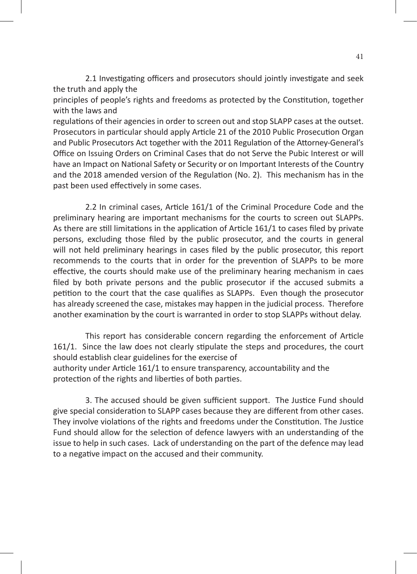2.1 Investigating officers and prosecutors should jointly investigate and seek the truth and apply the

principles of people's rights and freedoms as protected by the Constitution, together with the laws and

regulations of their agencies in order to screen out and stop SLAPP cases at the outset. Prosecutors in particular should apply Article 21 of the 2010 Public Prosecution Organ and Public Prosecutors Act together with the 2011 Regulation of the Attorney-General's Office on Issuing Orders on Criminal Cases that do not Serve the Pubic Interest or will have an Impact on National Safety or Security or on Important Interests of the Country and the 2018 amended version of the Regulation (No. 2). This mechanism has in the past been used effectively in some cases.

2.2 In criminal cases, Article 161/1 of the Criminal Procedure Code and the preliminary hearing are important mechanisms for the courts to screen out SLAPPs. As there are still limitations in the application of Article 161/1 to cases filed by private persons, excluding those filed by the public prosecutor, and the courts in general will not held preliminary hearings in cases filed by the public prosecutor, this report recommends to the courts that in order for the prevention of SLAPPs to be more effective, the courts should make use of the preliminary hearing mechanism in caes filed by both private persons and the public prosecutor if the accused submits a petition to the court that the case qualifies as SLAPPs. Even though the prosecutor has already screened the case, mistakes may happen in the judicial process. Therefore another examination by the court is warranted in order to stop SLAPPs without delay.

This report has considerable concern regarding the enforcement of Article 161/1. Since the law does not clearly stipulate the steps and procedures, the court should establish clear guidelines for the exercise of authority under Article 161/1 to ensure transparency, accountability and the protection of the rights and liberties of both parties.

3. The accused should be given sufficient support. The Justice Fund should give special consideration to SLAPP cases because they are different from other cases. They involve violations of the rights and freedoms under the Constitution. The Justice Fund should allow for the selection of defence lawyers with an understanding of the issue to help in such cases. Lack of understanding on the part of the defence may lead to a negative impact on the accused and their community.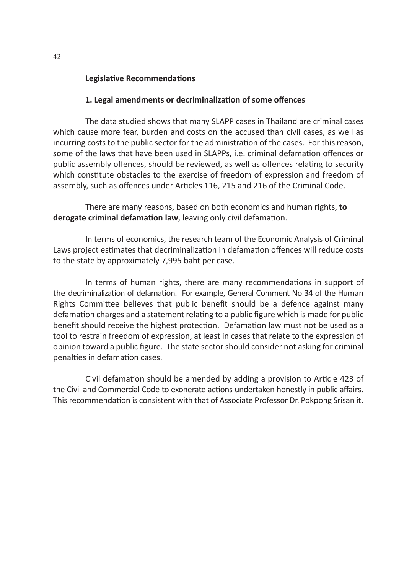#### **Legislative Recommendations**

#### **1. Legal amendments or decriminalization of some offences**

The data studied shows that many SLAPP cases in Thailand are criminal cases which cause more fear, burden and costs on the accused than civil cases, as well as incurring costs to the public sector for the administration of the cases. For this reason, some of the laws that have been used in SLAPPs, i.e. criminal defamation offences or public assembly offences, should be reviewed, as well as offences relating to security which constitute obstacles to the exercise of freedom of expression and freedom of assembly, such as offences under Articles 116, 215 and 216 of the Criminal Code.

There are many reasons, based on both economics and human rights, **to derogate criminal defamation law**, leaving only civil defamation.

In terms of economics, the research team of the Economic Analysis of Criminal Laws project estimates that decriminalization in defamation offences will reduce costs to the state by approximately 7,995 baht per case.

In terms of human rights, there are many recommendations in support of the decriminalization of defamation. For example, General Comment No 34 of the Human Rights Committee believes that public benefit should be a defence against many defamation charges and a statement relating to a public figure which is made for public benefit should receive the highest protection. Defamation law must not be used as a tool to restrain freedom of expression, at least in cases that relate to the expression of opinion toward a public figure. The state sector should consider not asking for criminal penalties in defamation cases.

Civil defamation should be amended by adding a provision to Article 423 of the Civil and Commercial Code to exonerate actions undertaken honestly in public affairs. This recommendation is consistent with that of Associate Professor Dr. Pokpong Srisan it.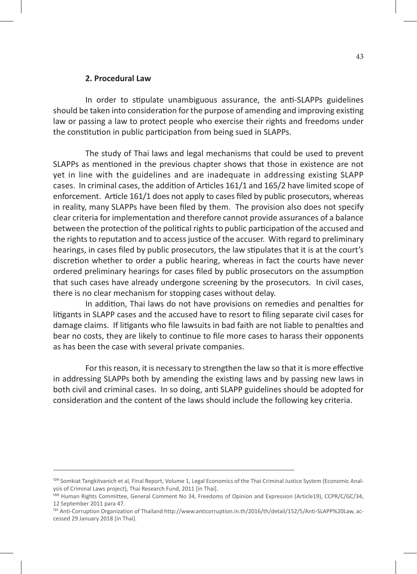#### **2. Procedural Law**

In order to stipulate unambiguous assurance, the anti-SLAPPs guidelines should be taken into consideration for the purpose of amending and improving existing law or passing a law to protect people who exercise their rights and freedoms under the constitution in public participation from being sued in SLAPPs.

The study of Thai laws and legal mechanisms that could be used to prevent SLAPPs as mentioned in the previous chapter shows that those in existence are not yet in line with the guidelines and are inadequate in addressing existing SLAPP cases. In criminal cases, the addition of Articles 161/1 and 165/2 have limited scope of enforcement. Article 161/1 does not apply to cases filed by public prosecutors, whereas in reality, many SLAPPs have been filed by them. The provision also does not specify clear criteria for implementation and therefore cannot provide assurances of a balance between the protection of the political rights to public participation of the accused and the rights to reputation and to access justice of the accuser. With regard to preliminary hearings, in cases filed by public prosecutors, the law stipulates that it is at the court's discretion whether to order a public hearing, whereas in fact the courts have never ordered preliminary hearings for cases filed by public prosecutors on the assumption that such cases have already undergone screening by the prosecutors. In civil cases, there is no clear mechanism for stopping cases without delay.

In addition, Thai laws do not have provisions on remedies and penalties for litigants in SLAPP cases and the accused have to resort to filing separate civil cases for damage claims. If litigants who file lawsuits in bad faith are not liable to penalties and bear no costs, they are likely to continue to file more cases to harass their opponents as has been the case with several private companies.

For this reason, it is necessary to strengthen the law so that it is more effective in addressing SLAPPs both by amending the existing laws and by passing new laws in both civil and criminal cases. In so doing, anti SLAPP guidelines should be adopted for consideration and the content of the laws should include the following key criteria.

<sup>&</sup>lt;sup>129</sup> Somkiat Tangkitvanich et al, Final Report, Volume 1, Legal Economics of the Thai Criminal Justice System (Economic Analysis of Criminal Laws project), Thai Research Fund, 2011 [in Thai].

<sup>130</sup> Human Rights Committee, General Comment No 34, Freedoms of Opinion and Expression (Article19), CCPR/C/GC/34, 12 September 2011 para 47.

<sup>&</sup>lt;sup>131</sup> Anti-Corruption Organization of Thailand http://www.anticorruption.in.th/2016/th/detail/152/5/Anti-SLAPP%20Law, accessed 29 January 2018 [in Thai].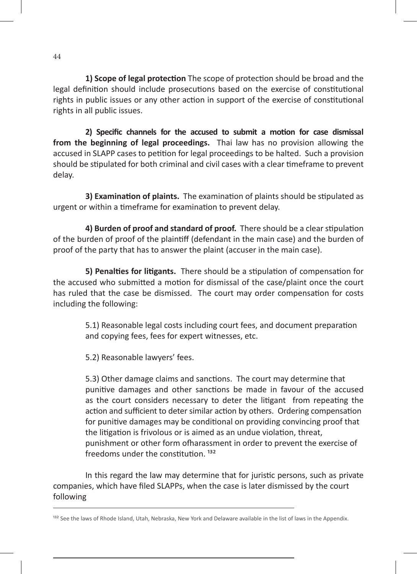**1) Scope of legal protection** The scope of protection should be broad and the legal definition should include prosecutions based on the exercise of constitutional rights in public issues or any other action in support of the exercise of constitutional rights in all public issues.

**2) Specific channels for the accused to submit a motion for case dismissal from the beginning of legal proceedings.** Thai law has no provision allowing the accused in SLAPP cases to petition for legal proceedings to be halted. Such a provision should be stipulated for both criminal and civil cases with a clear timeframe to prevent delay.

**3) Examination of plaints.** The examination of plaints should be stipulated as urgent or within a timeframe for examination to prevent delay.

**4) Burden of proof and standard of proof.** There should be a clear stipulation of the burden of proof of the plaintiff (defendant in the main case) and the burden of proof of the party that has to answer the plaint (accuser in the main case).

**5) Penalties for litigants.** There should be a stipulation of compensation for the accused who submitted a motion for dismissal of the case/plaint once the court has ruled that the case be dismissed. The court may order compensation for costs including the following:

> 5.1) Reasonable legal costs including court fees, and document preparation and copying fees, fees for expert witnesses, etc.

5.2) Reasonable lawyers' fees.

5.3) Other damage claims and sanctions. The court may determine that punitive damages and other sanctions be made in favour of the accused as the court considers necessary to deter the litigant from repeating the action and sufficient to deter similar action by others. Ordering compensation for punitive damages may be conditional on providing convincing proof that the litigation is frivolous or is aimed as an undue violation, threat, punishment or other form ofharassment in order to prevent the exercise of freedoms under the constitution.  $132$ 

In this regard the law may determine that for juristic persons, such as private companies, which have filed SLAPPs, when the case is later dismissed by the court following

<sup>&</sup>lt;sup>132</sup> See the laws of Rhode Island, Utah, Nebraska, New York and Delaware available in the list of laws in the Appendix.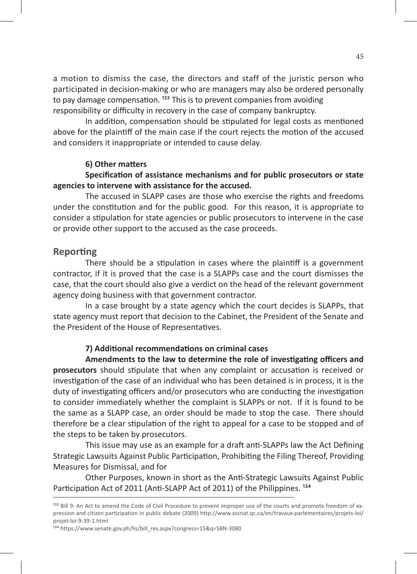a motion to dismiss the case, the directors and staff of the juristic person who participated in decision-making or who are managers may also be ordered personally to pay damage compensation. <sup>133</sup> This is to prevent companies from avoiding responsibility or difficulty in recovery in the case of company bankruptcy.

In addition, compensation should be stipulated for legal costs as mentioned above for the plaintiff of the main case if the court rejects the motion of the accused and considers it inappropriate or intended to cause delay.

#### **6) Other matters**

### **Specification of assistance mechanisms and for public prosecutors or state agencies to intervene with assistance for the accused.**

The accused in SLAPP cases are those who exercise the rights and freedoms under the constitution and for the public good. For this reason, it is appropriate to consider a stipulation for state agencies or public prosecutors to intervene in the case or provide other support to the accused as the case proceeds.

#### **Reporting**

There should be a stipulation in cases where the plaintiff is a government contractor, if it is proved that the case is a SLAPPs case and the court dismisses the case, that the court should also give a verdict on the head of the relevant government agency doing business with that government contractor.

In a case brought by a state agency which the court decides is SLAPPs, that state agency must report that decision to the Cabinet, the President of the Senate and the President of the House of Representatives.

#### **7) Additional recommendations on criminal cases**

**Amendments to the law to determine the role of investigating officers and prosecutors** should stipulate that when any complaint or accusation is received or investigation of the case of an individual who has been detained is in process, it is the duty of investigating officers and/or prosecutors who are conducting the investigation to consider immediately whether the complaint is SLAPPs or not. If it is found to be the same as a SLAPP case, an order should be made to stop the case. There should therefore be a clear stipulation of the right to appeal for a case to be stopped and of the steps to be taken by prosecutors.

This issue may use as an example for a draft anti-SLAPPs law the Act Defining Strategic Lawsuits Against Public Participation, Prohibiting the Filing Thereof, Providing Measures for Dismissal, and for

Other Purposes, known in short as the Anti-Strategic Lawsuits Against Public Participation Act of 2011 (Anti-SLAPP Act of 2011) of the Philippines.<sup>134</sup>

<sup>&</sup>lt;sup>133</sup> Bill 9: An Act to amend the Code of Civil Procedure to prevent improper use of the courts and promote freedom of expression and citizen participation in public debate (2009) http://www.assnat.qc.ca/en/travaux-parlementaires/projets-loi/ projet-loi-9-39-1.html

<sup>134</sup> https://www.senate.gov.ph/lis/bill\_res.aspx?congress=15&q=SBN-3080